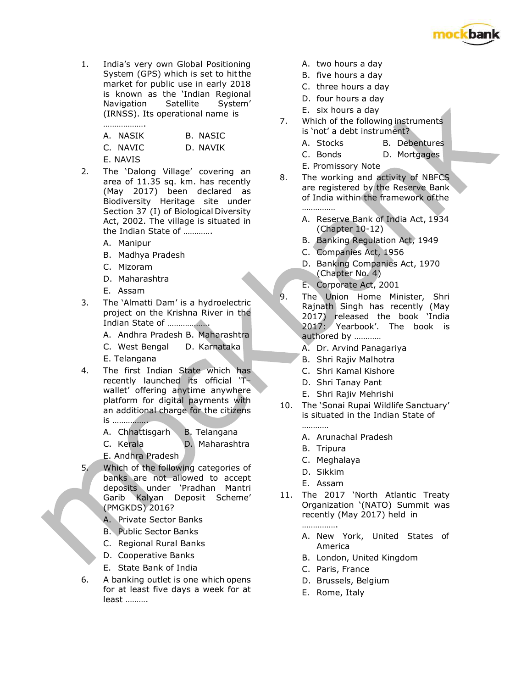

1. India's very own Global Positioning System (GPS) which is set to hit the market for public use in early 2018 is known as the 'Indian Regional Navigation Satellite System' (IRNSS). Its operational name is ……………….

| A. NASIK | B. NASIC |
|----------|----------|
| C. NAVIC | D. NAVIK |
| E. NAVIS |          |

- 2. The 'Dalong Village' covering an area of 11.35 sq. km. has recently (May 2017) been declared as Biodiversity Heritage site under Section 37 (I) of Biological Diversity Act, 2002. The village is situated in the Indian State of ………….
	- A. Manipur
	- B. Madhya Pradesh
	- C. Mizoram
	- D. Maharashtra
	- E. Assam
- 3. The 'Almatti Dam' is a hydroelectric project on the Krishna River in the Indian State of ……………….
	- A. Andhra Pradesh B. Maharashtra
	- C. West Bengal D. Karnataka
	- E. Telangana
- 4. The first Indian State which has recently launched its official 'T– wallet' offering anytime anywhere platform for digital payments with an additional charge for the citizens is …………….
	- A. Chhattisgarh B. Telangana
	- C. Kerala D. Maharashtra
	- E. Andhra Pradesh
- 5. Which of the following categories of banks are not allowed to accept deposits under 'Pradhan Mantri Garib Kalyan Deposit Scheme' (PMGKDS) 2016?
	- A. Private Sector Banks
	- B. Public Sector Banks
	- C. Regional Rural Banks
	- D. Cooperative Banks
	- E. State Bank of India
- 6. A banking outlet is one which opens for at least five days a week for at least ……….
- A. two hours a day
- B. five hours a day
- C. three hours a day
- D. four hours a day
- E. six hours a day
- 7. Which of the following instruments is 'not' a debt instrument?
	- A. Stocks B. Debentures
	- C. Bonds D. Mortgages
	- E. Promissory Note
- 8. The working and activity of NBFCS are registered by the Reserve Bank of India within the framework of the ……………
	- A. Reserve Bank of India Act, 1934 (Chapter 10-12)
	- B. Banking Regulation Act, 1949
	- C. Companies Act, 1956
	- D. Banking Companies Act, 1970 (Chapter No. 4)
	- E. Corporate Act, 2001
- 9. The Union Home Minister, Shri Rajnath Singh has recently (May 2017) released the book 'India 2017: Yearbook'. The book is authored by …………
	- A. Dr. Arvind Panagariya
	- B. Shri Rajiv Malhotra
	- C. Shri Kamal Kishore
	- D. Shri Tanay Pant
	- E. Shri Rajiv Mehrishi
- 10. The 'Sonai Rupai Wildlife Sanctuary' is situated in the Indian State of …………
	- A. Arunachal Pradesh
	- B. Tripura
	- C. Meghalaya
	- D. Sikkim
	- E. Assam
- 11. The 2017 'North Atlantic Treaty Organization '(NATO) Summit was recently (May 2017) held in ………………
	- A. New York, United States of America
	- B. London, United Kingdom
	- C. Paris, France
	- D. Brussels, Belgium
	- E. Rome, Italy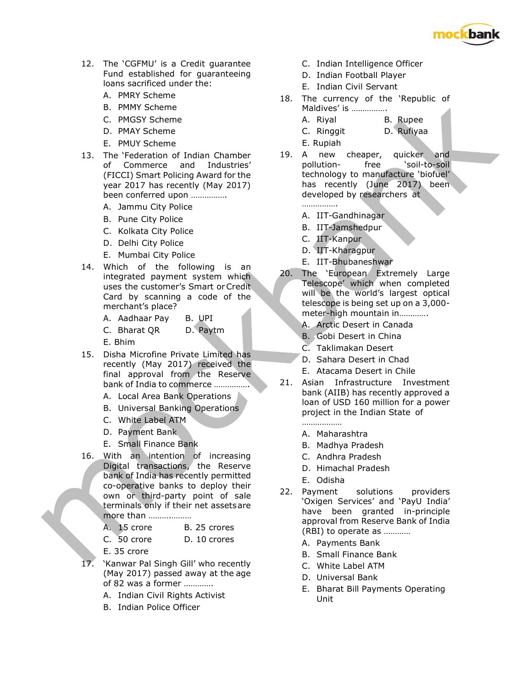

- 12. The 'CGFMU' is a Credit guarantee Fund established for guaranteeing loans sacrificed under the:
	- A. PMRY Scheme
	- B. PMMY Scheme
	- C. PMGSY Scheme
	- D. PMAY Scheme
	- E. PMUY Scheme
- 13. The 'Federation of Indian Chamber of Commerce and Industries' (FICCI) Smart Policing Award for the year 2017 has recently (May 2017) been conferred upon …………….
	- A. Jammu City Police
	- B. Pune City Police
	- C. Kolkata City Police
	- D. Delhi City Police
	- E. Mumbai City Police
- 14. Which of the following is an integrated payment system which uses the customer's Smart or Credit Card by scanning a code of the merchant's place?
	- A. Aadhaar Pay B. UPI
	- C. Bharat QR D. Paytm
	- E. Bhim
- 15. Disha Microfine Private Limited has recently (May 2017) received the final approval from the Reserve bank of India to commerce …………….
	- A. Local Area Bank Operations
	- B. Universal Banking Operations
	- C. White Label ATM
	- D. Payment Bank
	- E. Small Finance Bank
- 16. With an intention of increasing Digital transactions, the Reserve bank of India has recently permitted co-operative banks to deploy their own or third-party point of sale terminals only if their net assets are more than .....................
	- A. 15 crore B. 25 crores
	- C. 50 crore D. 10 crores
	- E. 35 crore
- 17. 'Kanwar Pal Singh Gill' who recently (May 2017) passed away at the age of 82 was a former ………….
	- A. Indian Civil Rights Activist
	- B. Indian Police Officer
- C. Indian Intelligence Officer
- D. Indian Football Player
- E. Indian Civil Servant
- 18. The currency of the 'Republic of Maldives' is …………….
	- A. Riyal B. Rupee
	- C. Ringgit D. Rufiyaa
	- E. Rupiah
- 19. A new cheaper, quicker and pollution- free 'soil-to-soil technology to manufacture 'biofuel' has recently (June 2017) been developed by researchers at …………….
	- A. IIT-Gandhinagar
	- B. IIT-Jamshedpur
	- C. IIT-Kanpur
	- D. IIT-Kharagpur
	- E. IIT-Bhubaneshwar
- 20. The 'European Extremely Large Telescope' which when completed will be the world's largest optical telescope is being set up on a 3,000 meter-high mountain in………….
	- A. Arctic Desert in Canada
	- B. Gobi Desert in China
	- C. Taklimakan Desert
	- D. Sahara Desert in Chad
	- E. Atacama Desert in Chile
- 21. Asian Infrastructure Investment bank (AIIB) has recently approved a loan of USD 160 million for a power project in the Indian State of
	- A. Maharashtra

………………

- B. Madhya Pradesh
- C. Andhra Pradesh
- D. Himachal Pradesh
- E. Odisha
- 22. Payment solutions providers 'Oxigen Services' and 'PayU India' have been granted in-principle approval from Reserve Bank of India (RBI) to operate as …………
	- A. Payments Bank
	- B. Small Finance Bank
	- C. White Label ATM
	- D. Universal Bank
	- E. Bharat Bill Payments Operating Unit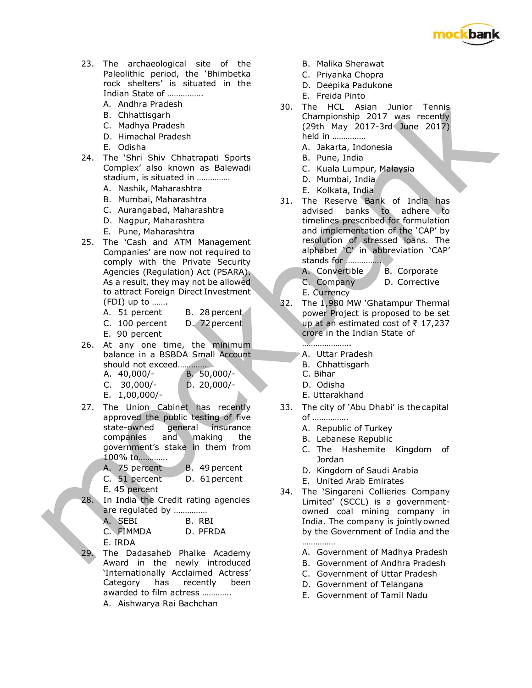

- 23. The archaeological site of the Paleolithic period, the 'Bhimbetka rock shelters' is situated in the Indian State of …………….
	- A. Andhra Pradesh
	- B. Chhattisgarh
	- C. Madhya Pradesh
	- D. Himachal Pradesh
	- E. Odisha
- 24. The 'Shri Shiv Chhatrapati Sports Complex' also known as Balewadi stadium, is situated in ……………
	- A. Nashik, Maharashtra
	- B. Mumbai, Maharashtra
	- C. Aurangabad, Maharashtra
	- D. Nagpur, Maharashtra
	- E. Pune, Maharashtra
- 25. The 'Cash and ATM Management Companies' are now not required to comply with the Private Security Agencies (Regulation) Act (PSARA). As a result, they may not be allowed to attract Foreign Direct Investment (FDI) up to …….
	- A. 51 percent B. 28 percent
	- C. 100 percent D. 72 percent
	- E. 90 percent
- 26. At any one time, the minimum balance in a BSBDA Small Account should not exceed………….
	- A. 40,000/- B. 50,000/- C. Bihar C. 30,000/- D. 20,000/- D. Odisha
	- E. 1,00,000/- E. Uttarakhand
- 27. The Union Cabinet has recently approved the public testing of five state-owned general insurance companies and making the government's stake in them from 100% to………….
	- A. 75 percent B. 49 percent C. 51 percent D. 61 percent
	- E. 45 percent
- 28. In India the Credit rating agencies are regulated by ……………
	- A. SEBI B. RBI C. FIMMDA D. PFRDA E. IRDA
- The Dadasaheb Phalke Academy Award in the newly introduced 'Internationally Acclaimed Actress' Category has recently been awarded to film actress ………….
	- A. Aishwarya Rai Bachchan
- B. Malika Sherawat
- C. Priyanka Chopra
- D. Deepika Padukone
- E. Freida Pinto
- 30. The HCL Asian Junior Tennis Championship 2017 was recently (29th May 2017-3rd June 2017) held in ……………
	- A. Jakarta, Indonesia
	- B. Pune, India
	- C. Kuala Lumpur, Malaysia
	- D. Mumbai, India
	- E. Kolkata, India
- 31. The Reserve Bank of India has advised banks to adhere to timelines prescribed for formulation and implementation of the 'CAP' by resolution of stressed loans. The alphabet 'C' in abbreviation 'CAP' stands for …………….
	- A. Convertible B. Corporate
	- C. Company D. Corrective
	- E. Currency
- 32. The 1,980 MW 'Ghatampur Thermal power Project is proposed to be set up at an estimated cost of ₹ 17,237 crore in the Indian State of
	- …………………
	- A. Uttar Pradesh
	- B. Chhattisgarh
	-
	-
- 33. The city of 'Abu Dhabi' is the capital of …………….
	- A. Republic of Turkey
	- B. Lebanese Republic
	- C. The Hashemite Kingdom of Jordan
	- D. Kingdom of Saudi Arabia
	- E. United Arab Emirates
- 34. The 'Singareni Collieries Company Limited' (SCCL) is a governmentowned coal mining company in India. The company is jointly owned by the Government of India and the ……………
	- A. Government of Madhya Pradesh
	- B. Government of Andhra Pradesh
	- C. Government of Uttar Pradesh
	- D. Government of Telangana
	- E. Government of Tamil Nadu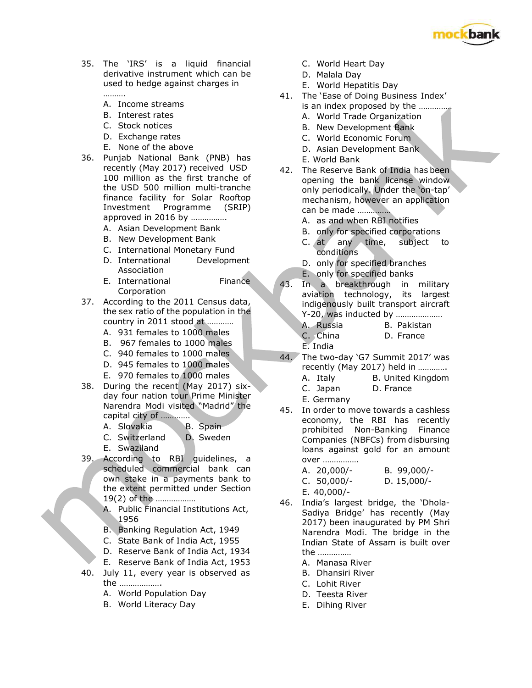

- 35. The 'IRS' is a liquid financial derivative instrument which can be used to hedge against charges in ………
	-
	- A. Income streams B. Interest rates
	- C. Stock notices
	- D. Exchange rates
	- E. None of the above
- 36. Punjab National Bank (PNB) has recently (May 2017) received USD 100 million as the first tranche of the USD 500 million multi-tranche finance facility for Solar Rooftop Investment Programme (SRIP) approved in 2016 by …………….
	- A. Asian Development Bank
	- B. New Development Bank
	- C. International Monetary Fund
	- D. International Development Association
	- E. International Finance Corporation
- 37. According to the 2011 Census data, the sex ratio of the population in the country in 2011 stood at …………
	- A. 931 females to 1000 males
	- B. 967 females to 1000 males
	- C. 940 females to 1000 males
	- D. 945 females to 1000 males
	- E. 970 females to 1000 males
- 38. During the recent (May 2017) sixday four nation tour Prime Minister Narendra Modi visited "Madrid" the capital city of ………….
	- A. Slovakia B. Spain
	- C. Switzerland D. Sweden
	- E. Swaziland
- 39. According to RBI guidelines, a scheduled commercial bank can own stake in a payments bank to the extent permitted under Section 19(2) of the ………………
	- A. Public Financial Institutions Act, 1956
	- B. Banking Regulation Act, 1949
	- C. State Bank of India Act, 1955
	- D. Reserve Bank of India Act, 1934
	- E. Reserve Bank of India Act, 1953
- 40. July 11, every year is observed as the ……………….
	- A. World Population Day
	- B. World Literacy Day
- C. World Heart Day
- D. Malala Day
- E. World Hepatitis Day
- 41. The 'Ease of Doing Business Index' is an index proposed by the ……………
	- A. World Trade Organization
	- B. New Development Bank
	- C. World Economic Forum
	- D. Asian Development Bank
	- E. World Bank
- 42. The Reserve Bank of India has been opening the bank license window only periodically. Under the 'on-tap' mechanism, however an application can be made ……………
	- A. as and when RBI notifies
	- B. only for specified corporations
	- C. at any time, subject to conditions
	- D. only for specified branches
	- E. only for specified banks
- 43. In a breakthrough in military aviation technology, its largest indigenously built transport aircraft Y-20, was inducted by …………………
	- A. Russia B. Pakistan C. China D. France
	- E. India
- 44. The two-day 'G7 Summit 2017' was recently (May 2017) held in …………. A. Italy B. United Kingdom C. Japan D. France
	- E. Germany
- 45. In order to move towards a cashless economy, the RBI has recently prohibited Non-Banking Finance Companies (NBFCs) from disbursing loans against gold for an amount over …………….
	- A. 20,000/- B. 99,000/- C. 50,000/- D. 15,000/- E. 40,000/-
- 46. India's largest bridge, the 'Dhola-Sadiya Bridge' has recently (May 2017) been inaugurated by PM Shri Narendra Modi. The bridge in the Indian State of Assam is built over the ……………
	- A. Manasa River
	- B. Dhansiri River
	- C. Lohit River
	- D. Teesta River
	- E. Dihing River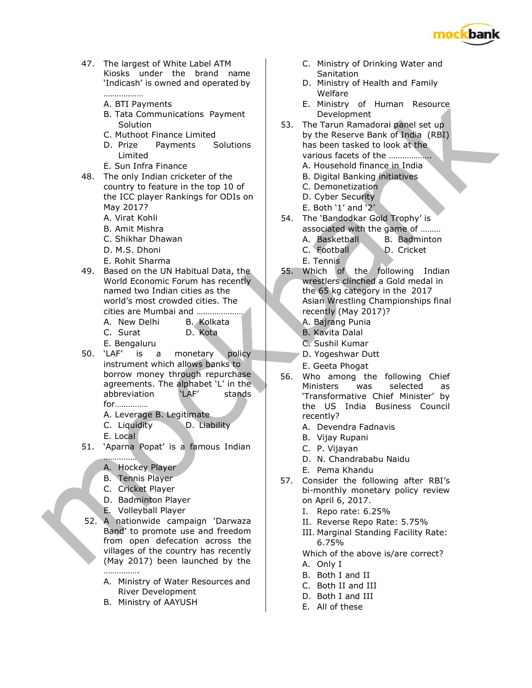

- 47. The largest of White Label ATM Kiosks under the brand name 'Indicash' is owned and operated by ……………… Welfare
	-
	- B. Tata Communications Payment | Development
	-
	- D. Prize Payments Solutions and the been tasked to look at the
	-
- 48. The only Indian cricketer of the Allen B. Digital Banking initiatives country to feature in the top 10 of C. Demonetization the ICC player Rankings for ODIs on  $\Box$  D. Cyber Security May 2017? E. Both '1' and '2'
	-
	-
	-
	-
	- E. Rohit Sharma E. Tennis
- 49. Based on the UN Habitual Data, the 55. Which of the following Indian named two Indian cities as the the  $\sim$  the 65 kg category in the 2017 cities are Mumbai and ………………… recently (May 2017)?
	-
	- C. Surat D. Kota | | B. Kavita Dalal
	-
- 50. 'LAF' is a monetary policy D. Yogeshwar Dutt instrument which allows banks to borrow money through repurchase agreements. The alphabet 'L' in the abbreviation 'LAF' stands for……………
	- A. Leverage B. Legitimate
	- C. Liquidity D. Liability
	- E. Local
- 51. 'Aparna Popat' is a famous Indian
	- …………… A. Hockey Player
	- B. Tennis Player
	- C. Cricket Player
	- D. Badminton Player
	- E. Volleyball Player
- 52. A nationwide campaign 'Darwaza Band' to promote use and freedom from open defecation across the villages of the country has recently (May 2017) been launched by the

………………

- A. Ministry of Water Resources and River Development
- B. Ministry of AAYUSH
- C. Ministry of Drinking Water and Sanitation
- D. Ministry of Health and Family
- A. BTI Payments **E. Ministry of Human Resource**
- Solution 53. The Tarun Ramadorai panel set up C. Muthoot Finance Limited by the Reserve Bank of India (RBI) Limited **Limited various facets of the ………………** E. Sun Infra Finance **A.** A. Household finance in India
	-
	-
	-
	-
- A. Virat Kohli 54. The 'Bandodkar Gold Trophy' is B. Amit Mishra **and Communist Communist Communist Communist Communist Communist Communist Communist Communist Communist Communist Communist Communist Communist Communist Communist Communist Communist Communist Communist Co**
- C. Shikhar Dhawan **A. Basketball** B. Badminton
- D. M.S. Dhoni C. Football D. Cricket
	-
- World Economic Forum has recently wrestlers clinched a Gold medal in world's most crowded cities. The Asian Wrestling Championships final
- A. New Delhi B. Kolkata | A. Bajrang Punia
	-
- E. Bengaluru **C. Sushil Kumar** 
	-
	- E. Geeta Phogat
	- 56. Who among the following Chief Ministers was selected as 'Transformative Chief Minister' by the US India Business Council recently?
		- A. Devendra Fadnavis
		- B. Vijay Rupani
		- C. P. Vijayan
		- D. N. Chandrababu Naidu
		- E. Pema Khandu
	- 57. Consider the following after RBI's bi-monthly monetary policy review on April 6, 2017.
		- I. Repo rate: 6.25%
		- II. Reverse Repo Rate: 5.75%
		- III. Marginal Standing Facility Rate: 6.75%
		- Which of the above is/are correct?
		- A. Only I
		- B. Both I and II
		- C. Both II and III
		- D. Both I and III
		- E. All of these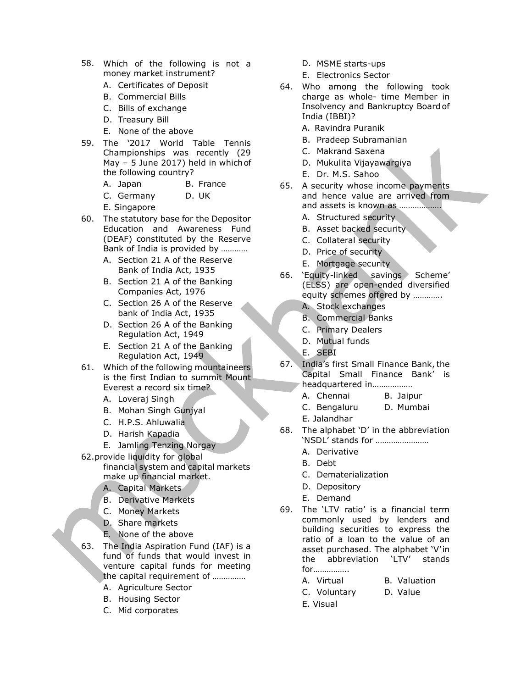- 58. Which of the following is not a money market instrument?
	- A. Certificates of Deposit
	- B. Commercial Bills
	- C. Bills of exchange
	- D. Treasury Bill
	- E. None of the above
- 59. The '2017 World Table Tennis Championships was recently (29 May – 5 June 2017) held in which of the following country?
	- A. Japan B. France
	- C. Germany D. UK
	- E. Singapore
- 60. The statutory base for the Depositor Education and Awareness Fund (DEAF) constituted by the Reserve Bank of India is provided by …………
	- A. Section 21 A of the Reserve Bank of India Act, 1935
	- B. Section 21 A of the Banking Companies Act, 1976
	- C. Section 26 A of the Reserve bank of India Act, 1935
	- D. Section 26 A of the Banking Regulation Act, 1949
	- E. Section 21 A of the Banking Regulation Act, 1949
- 61. Which of the following mountaineers is the first Indian to summit Mount Everest a record six time?
	- A. Loveraj Singh
	- B. Mohan Singh Gunjyal
	- C. H.P.S. Ahluwalia
	- D. Harish Kapadia
	- E. Jamling Tenzing Norgay
- 62.provide liquidity for global financial system and capital markets make up financial market.
	- A. Capital Markets
	- B. Derivative Markets
	- C. Money Markets
	- D. Share markets
	- E. None of the above
- 63. The India Aspiration Fund (IAF) is a fund of funds that would invest in venture capital funds for meeting the capital requirement of ……………
	- A. Agriculture Sector
	- B. Housing Sector
	- C. Mid corporates
- D. MSME starts-ups
- E. Electronics Sector
- 64. Who among the following took charge as whole- time Member in Insolvency and Bankruptcy Board of India (IBBI)?
	- A. Ravindra Puranik
	- B. Pradeep Subramanian
	- C. Makrand Saxena
	- D. Mukulita Vijayawargiya
	- E. Dr. M.S. Sahoo
- 65. A security whose income payments and hence value are arrived from and assets is known as ……………….
	- A. Structured security
	- B. Asset backed security
	- C. Collateral security
	- D. Price of security
	- E. Mortgage security
- 66. 'Equity-linked savings Scheme' (ELSS) are open-ended diversified equity schemes offered by ………….
	- A. Stock exchanges
	- B. Commercial Banks
	- C. Primary Dealers
	- D. Mutual funds
	- E. SEBI
- 67. India's first Small Finance Bank, the Capital Small Finance Bank' is headquartered in………………
	- A. Chennai B. Jaipur
	- C. Bengaluru D. Mumbai
	- E. Jalandhar
- 68. The alphabet 'D' in the abbreviation 'NSDL' stands for ……………………
	- A. Derivative
	- B. Debt
	- C. Dematerialization
	- D. Depository
	- E. Demand
- 69. The 'LTV ratio' is a financial term commonly used by lenders and building securities to express the ratio of a loan to the value of an asset purchased. The alphabet 'V' in the abbreviation 'LTV' stands for…………….
	- A. Virtual B. Valuation
	- C. Voluntary D. Value
	- E. Visual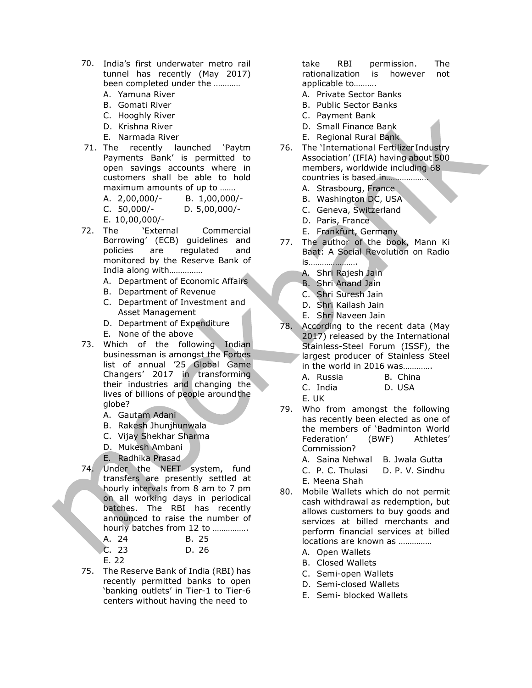- 70. India's first underwater metro rail tunnel has recently (May 2017) been completed under the …………
	- A. Yamuna River
	- B. Gomati River
	- C. Hooghly River
	- D. Krishna River
	- E. Narmada River
- 71. The recently launched 'Paytm Payments Bank' is permitted to open savings accounts where in customers shall be able to hold maximum amounts of up to …….

A. 2,00,000/- B. 1,00,000/-

- C. 50,000/- D. 5,00,000/- E. 10,00,000/-
- 72. The 'External Commercial Borrowing' (ECB) guidelines and policies are regulated and monitored by the Reserve Bank of India along with……………
	- A. Department of Economic Affairs
	- B. Department of Revenue
	- C. Department of Investment and Asset Management
	- D. Department of Expenditure E. None of the above
- 73. Which of the following Indian businessman is amongst the Forbes list of annual '25 Global Game Changers' 2017 in transforming their industries and changing the lives of billions of people around the globe?
	- A. Gautam Adani
	- B. Rakesh Jhunjhunwala
	- C. Vijay Shekhar Sharma
	- D. Mukesh Ambani
	- E. Radhika Prasad
- 74. Under the NEFT system, fund transfers are presently settled at hourly intervals from 8 am to 7 pm on all working days in periodical batches. The RBI has recently announced to raise the number of hourly batches from 12 to …………….

| ⊾A. 24 | B. 25 |
|--------|-------|
| C.23   | D. 26 |
| E. 22  |       |

75. The Reserve Bank of India (RBI) has recently permitted banks to open 'banking outlets' in Tier-1 to Tier-6 centers without having the need to

take RBI permission. The rationalization is however not applicable to……….

- A. Private Sector Banks
- B. Public Sector Banks
- C. Payment Bank
- D. Small Finance Bank
- E. Regional Rural Bank
- 76. The 'International Fertilizer Industry Association' (IFIA) having about 500 members, worldwide including 68 countries is based in……………….
	- A. Strasbourg, France
	- B. Washington DC, USA
	- C. Geneva, Switzerland
	- D. Paris, France
	- E. Frankfurt, Germany
- 77. The author of the book, Mann Ki Baat: A Social Revolution on Radio is………………….
	- A. Shri Rajesh Jain
	- B. Shri Anand Jain
	- C. Shri Suresh Jain
	- D. Shri Kailash Jain
	- E. Shri Naveen Jain
- 78. According to the recent data (May 2017) released by the International Stainless-Steel Forum (ISSF), the largest producer of Stainless Steel in the world in 2016 was………….
	- A. Russia B. China C. India D. USA
	- E. UK
- 79. Who from amongst the following has recently been elected as one of the members of 'Badminton World Federation' (BWF) Athletes' Commission?
	- A. Saina Nehwal B. Jwala Gutta
	- C. P. C. Thulasi D. P. V. Sindhu E. Meena Shah
- 80. Mobile Wallets which do not permit cash withdrawal as redemption, but allows customers to buy goods and services at billed merchants and perform financial services at billed locations are known as ……………
	- A. Open Wallets
	- B. Closed Wallets
	- C. Semi-open Wallets
	- D. Semi-closed Wallets
	- E. Semi- blocked Wallets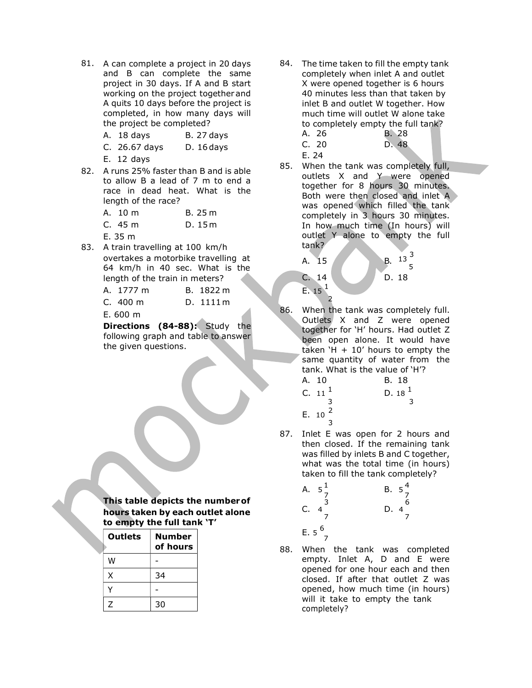- 81. A can complete a project in 20 days and B can complete the same project in 30 days. If A and B start working on the project together and A quits 10 days before the project is completed, in how many days will the project be completed?
	- A. 18 days B. 27 days
	- C. 26.67 days D. 16 days
	- E. 12 days
- 82. A runs 25% faster than B and is able to allow B a lead of 7 m to end a race in dead heat. What is the length of the race?

| A. 10 m | B. 25 m |
|---------|---------|
| C.45 m  | D.15m   |
| E.35 m  |         |

83. A train travelling at 100 km/h overtakes a motorbike travelling at 64 km/h in 40 sec. What is the length of the train in meters?

| A. 1777 m | B. 1822 m |
|-----------|-----------|
| C. 400 m  | D. 1111 m |
| E. 600 m  |           |

Directions (84-88): Study the following graph and table to answer the given questions.

This table depicts the number of hours taken by each outlet alone to empty the full tank 'T'

| <b>Outlets</b> | <b>Number</b><br>of hours |  |
|----------------|---------------------------|--|
| W              |                           |  |
| X              | 34                        |  |
|                |                           |  |
| 7              | 30                        |  |

- 84. The time taken to fill the empty tank completely when inlet A and outlet X were opened together is 6 hours 40 minutes less than that taken by inlet B and outlet W together. How much time will outlet W alone take to completely empty the full tank?
	- A. 26 B. 28 C. 20 D. 48 E. 24
- 85. When the tank was completely full, outlets X and Y were opened together for 8 hours 30 minutes. Both were then closed and inlet A was opened which filled the tank completely in 3 hours 30 minutes. In how much time (In hours) will outlet Y alone to empty the full tank?

 $5<sub>5</sub>$ 



86. When the tank was completely full. Outlets X and Z were opened together for 'H' hours. Had outlet Z been open alone. It would have taken  $H + 10'$  hours to empty the same quantity of water from the tank. What is the value of 'H'?

A. 10  
\nB. 18  
\nC. 
$$
11^{\frac{1}{3}}
$$
  
\nD.  $18^{\frac{1}{3}}$   
\nE.  $10^{\frac{2}{3}}$ 

87. Inlet E was open for 2 hours and then closed. If the remaining tank was filled by inlets B and C together, what was the total time (in hours) taken to fill the tank completely?

A. 
$$
5\frac{1}{7}
$$
  
\nC.  $4\frac{3}{7}$   
\nD.  $4\frac{6}{7}$   
\nE.  $5\frac{6}{7}$ 

88. When the tank was completed  $W$   $\begin{vmatrix} 1 & 1 \end{vmatrix}$  and E were  $\begin{vmatrix} 1 & 1 \end{vmatrix}$  empty. Inlet A, D and E were opened for one hour each and then closed. If after that outlet Z was opened, how much time (in hours) will it take to empty the tank completely?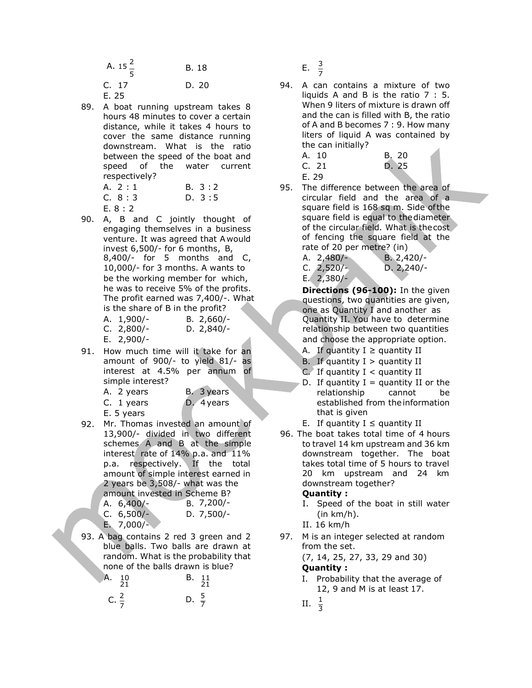| A. $15^{\frac{2}{3}}$ | B. 18 | $rac{3}{7}$             |
|-----------------------|-------|-------------------------|
| C. 17<br>E. 25        | D. 20 | 94. A car<br>liquid<br> |

89. A boat running upstream takes 8 hours 48 minutes to cover a certain distance, while it takes 4 hours to cover the same distance running downstream. What is the ratio between the speed of the boat and speed of the water current respectively?

|      | A. 2 : 1 | B. 3:2 |
|------|----------|--------|
|      | C. 8:3   | D. 3:5 |
| $ -$ |          |        |

- E. 8 : 2
- 90. A, B and C jointly thought of engaging themselves in a business venture. It was agreed that A would invest 6,500/- for 6 months, B,  $8,400/$ - for 5 months and C, 10,000/- for 3 months. A wants to be the working member for which, he was to receive 5% of the profits. The profit earned was 7,400/-. What is the share of B in the profit? A. 1,900/- B. 2,660/- Quantity II. You have to determine C. 2,800/- D. 2,840/- relationship between two quantities
	-
- 91. How much time will it take for an amount of 900/- to yield 81/- as interest at 4.5% per annum of simple interest?

| A. 2 years | B. 3 years |
|------------|------------|
| C. 1 years | D. 4 years |
| E. 5 years |            |

92. Mr. Thomas invested an amount of 13,900/- divided in two different schemes A and B at the simple interest rate of 14% p.a. and 11% p.a. respectively. If the total amount of simple interest earned in 2 years be 3,508/- what was the amount invested in Scheme B?

E. 7,000/- II. 16 km/h

93. A bag contains 2 red 3 green and 2 blue balls. Two balls are drawn at random. What is the probability that none of the balls drawn is blue?

| Α.               | - 10 | B. 11            |                   | I. Probability that<br>$12, 9$ and M is a |
|------------------|------|------------------|-------------------|-------------------------------------------|
| C. $\frac{2}{7}$ |      | D. $\frac{5}{7}$ | II. $\frac{1}{2}$ |                                           |

94. A can contains a mixture of two liquids A and B is the ratio 7 : 5. When 9 liters of mixture is drawn off and the can is filled with B, the ratio of A and B becomes 7 : 9. How many liters of liquid A was contained by the can initially?

|       | A. 10 | B. 20 |
|-------|-------|-------|
| C. 21 |       | D. 25 |

- E. 29
- 95. The difference between the area of circular field and the area of a square field is 168 sq m. Side of the square field is equal to the diameter of the circular field. What is the cost of fencing the square field at the rate of 20 per metre? (in)

| A. 2,480/- | $B. 2,420/-$ |
|------------|--------------|
| C. 2,520/- | D. 2,240/    |
| E. 2,380/- |              |

Directions (96-100): In the given questions, two quantities are given, one as Quantity I and another as E. 2,900/- and choose the appropriate option.

- A. If quantity  $I \ge$  quantity II
- B. If quantity  $I >$  quantity II
- $C$ . If quantity I < quantity II
- D. If quantity  $I =$  quantity II or the relationship cannot be established from the information that is given
- E. If quantity  $I \le$  quantity II
- 96. The boat takes total time of 4 hours to travel 14 km upstream and 36 km downstream together. The boat takes total time of 5 hours to travel 20 km upstream and 24 km downstream together?

# Quantity :

- I. Speed of the boat in still water  $(in km/h).$
- 
- 97. M is an integer selected at random from the set.

(7, 14, 25, 27, 33, 29 and 30)

# Quantity :

- 21 12, 9 and M is at least 17. I. Probability that the average of
- $\frac{1}{7}$  II.  $\frac{1}{3}$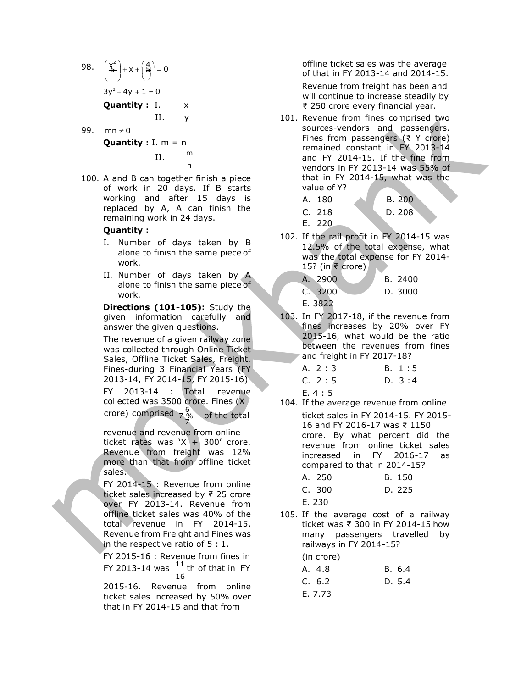- 98.  $\left(\frac{x^2}{2}\right) + x + \left(\frac{4}{5}\right) = 0$  of that in I  $3y^2 + 4y + 1 = 0$ Quantity :  $I. \times$ II. y
- 99. mn  $\neq$  0

# **Quantity** :  $I. m = n$  $II.$  m

100. A and B can together finish a piece of work in 20 days. If B starts working and after 15 days is replaced by A, A can finish the remaining work in 24 days.

### Quantity :

- Number of days taken by B alone to finish the same piece of work.
- II. Number of days taken by A alone to finish the same piece of work.

Directions (101-105): Study the given information carefully and answer the given questions.

The revenue of a given railway zone was collected through Online Ticket Sales, Offline Ticket Sales, Freight, Fines-during 3 Financial Years (FY 2013-14, FY 2014-15, FY 2015-16) FY 2013-14 : Total revenue collected was 3500 crore. Fines (X crore) comprised  $7\frac{6}{3}$ 

revenue and revenue from online ticket rates was  $X + 300'$  crore. Revenue from freight was 12% more than that from offline ticket sales.

FY 2014-15 : Revenue from online ticket sales increased by ₹ 25 crore over FY 2013-14. Revenue from offline ticket sales was 40% of the total revenue in FY 2014-15. Revenue from Freight and Fines was in the respective ratio of 5 : 1.

FY 2015-16 : Revenue from fines in FY 2013-14 was  $11$  th of that in FY

2015-16. Revenue from online ticket sales increased by 50% over that in FY 2014-15 and that from

offline ticket sales was the average of that in FY 2013-14 and 2014-15.

Revenue from freight has been and will continue to increase steadily by ₹ 250 crore every financial year.

n
wendors in FY 2013-14 was 55% of 101. Revenue from fines comprised two sources-vendors and passengers. Fines from passengers (₹ Y crore) remained constant in FY 2013-14 and FY 2014-15. If the fine from that in FY 2014-15, what was the value of Y?

| A. 180 | B. 200 |
|--------|--------|
| C. 218 | D.208  |

E. 220

102. If the rail profit in FY 2014-15 was 12.5% of the total expense, what was the total expense for FY 2014- 15? (in ₹ crore)

| A. 2900 | B. 2400 |
|---------|---------|
| C.3200  | D. 3000 |
| E. 3822 |         |

103. In FY 2017-18, if the revenue from fines increases by 20% over FY 2015-16, what would be the ratio between the revenues from fines and freight in FY 2017-18?

| A. 2:3 | B. 1:5   |
|--------|----------|
| C. 2:5 | D. $3:4$ |
| E.4:5  |          |

7 % of the total ticket sales in FY 2014-15. FY 2015- 104. If the average revenue from online 7 16 and FY 2016-17 was ₹ 1150 crore. By what percent did the revenue from online ticket sales increased in FY 2016-17 as compared to that in 2014-15?

| A. 250 | B. 150 |
|--------|--------|
| C. 300 | D. 225 |

- E. 230
- 105. If the average cost of a railway ticket was ₹ 300 in FY 2014-15 how many passengers travelled by railways in FY 2014-15? (in crore)

| ווו כאווו ווווכא ווו     | $111$ CIVIE |        |
|--------------------------|-------------|--------|
| $^{11}$ th of that in FY | A. 4.8      | B. 6.4 |
| 16<br>iue from online    | C. 6.2      | D. 5.4 |
| acad hy 50% over         | E. 7.73     |        |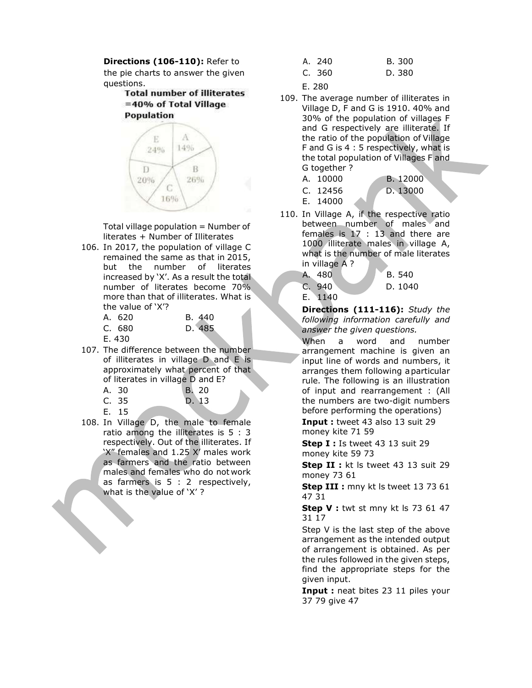**Directions (106-110):** Refer to  $\frac{1}{4}$ the pie charts to answer the given C. questions.

> **Total number of illiterates** =40% of Total Village **Population**



Total village population  $=$  Number of literates + Number of Illiterates

106. In 2017, the population of village C remained the same as that in 2015, but the number of literates increased by 'X'. As a result the total number of literates become 70% more than that of illiterates. What is the value of 'X'?

| A. 620       | B. 440 |
|--------------|--------|
| C. 680       | D. 485 |
| <u>- 150</u> |        |

E. 430

107. The difference between the number of illiterates in village D and E is approximately what percent of that of literates in village D and E?

| A. 30 | <b>B. 20</b> |
|-------|--------------|
| C. 35 | D. 13        |
| E. 15 |              |

108. In Village D, the male to female ratio among the illiterates is 5 : 3 respectively. Out of the illiterates. If 'X" females and 1.25 X' males work as farmers and the ratio between males and females who do not work as farmers is 5 : 2 respectively, what is the value of 'X' ?

| \. 240 | B. 300 |
|--------|--------|
| C. 360 | D. 380 |

E. 280

- 109. The average number of illiterates in Village D, F and G is 1910. 40% and 30% of the population of villages F and G respectively are illiterate. If the ratio of the population of Village F and G is 4 : 5 respectively, what is the total population of Villages F and G together ?
	-
	- A. 10000 B. 12000
	- C. 12456 D. 13000
		-
- 
- E. 14000
- 110. In Village A, if the respective ratio between number of males and females is 17 : 13 and there are 1000 illiterate males in village A,

what is the number of male literates in village A ? A. 480 B. 540

C. 940 D. 1040

E. 1140

Directions (111-116): Study the following information carefully and answer the given questions.

When a word and number arrangement machine is given an input line of words and numbers, it arranges them following a particular rule. The following is an illustration of input and rearrangement : (All the numbers are two-digit numbers before performing the operations)

Input : tweet 43 also 13 suit 29 money kite 71 59

Step I : Is tweet 43 13 suit 29 money kite 59 73

Step II : kt ls tweet 43 13 suit 29 money 73 61

Step III : mny kt ls tweet 13 73 61 47 31

Step V : twt st mny kt ls 73 61 47 31 17

Step V is the last step of the above arrangement as the intended output of arrangement is obtained. As per the rules followed in the given steps, find the appropriate steps for the given input.

**Input :** neat bites 23 11 piles your 37 79 give 47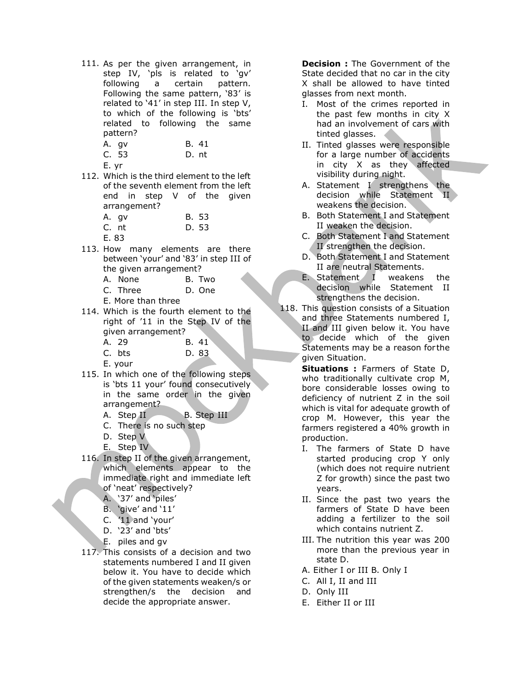111. As per the given arrangement, in step IV, 'pls is related to 'gv' following a certain pattern. Following the same pattern, '83' is related to '41' in step III. In step V, to which of the following is 'bts' related to following the same pattern?

| A. gv | B. 41 |
|-------|-------|
|       |       |

- C. 53 D. nt
- E. yr
- 112. Which is the third element to the left of the seventh element from the left end in step V of the given arrangement?

| A. gv | B. 53 |
|-------|-------|
| C. nt | D. 53 |
| E. 83 |       |

- 113. How many elements are there between 'your' and '83' in step III of the given arrangement?
	- A. None B. Two
	- C. Three D. One

E. More than three

- 114. Which is the fourth element to the right of '11 in the Step IV of the given arrangement?
	- A. 29 B. 41
	- C. bts D. 83

E. your

- 115. In which one of the following steps is 'bts 11 your' found consecutively in the same order in the given arrangement?
	- A. Step II B. Step III
	- C. There is no such step
	- D. Step V
	- E. Step IV
- 116. In step II of the given arrangement, which elements appear to the immediate right and immediate left of 'neat' respectively?
	- A. '37' and 'piles'
	- B. 'give' and '11'
	- C. '11 and 'your'
	- D. '23' and 'bts'
	- E. piles and gv
- 117. This consists of a decision and two statements numbered I and II given below it. You have to decide which of the given statements weaken/s or strengthen/s the decision and decide the appropriate answer.

**Decision:** The Government of the State decided that no car in the city X shall be allowed to have tinted glasses from next month.

- I. Most of the crimes reported in the past few months in city X had an involvement of cars with tinted glasses.
- II. Tinted glasses were responsible for a large number of accidents in city X as they affected visibility during night.
- A. Statement I strengthens the decision while Statement II weakens the decision.
- B. Both Statement I and Statement II weaken the decision.
- C. Both Statement I and Statement II strengthen the decision.
- D. Both Statement I and Statement II are neutral Statements.
- E. Statement I weakens the decision while Statement II strengthens the decision.
- 118. This question consists of a Situation and three Statements numbered I, II and III given below it. You have to decide which of the given Statements may be a reason for the given Situation.

Situations : Farmers of State D, who traditionally cultivate crop M, bore considerable losses owing to deficiency of nutrient Z in the soil which is vital for adequate growth of crop M. However, this year the farmers registered a 40% growth in production.

- I. The farmers of State D have started producing crop Y only (which does not require nutrient Z for growth) since the past two years.
- II. Since the past two years the farmers of State D have been adding a fertilizer to the soil which contains nutrient Z.
- III. The nutrition this year was 200 more than the previous year in state D.
- A. Either I or III B. Only I
- C. All I, II and III
- D. Only III
- E. Either II or III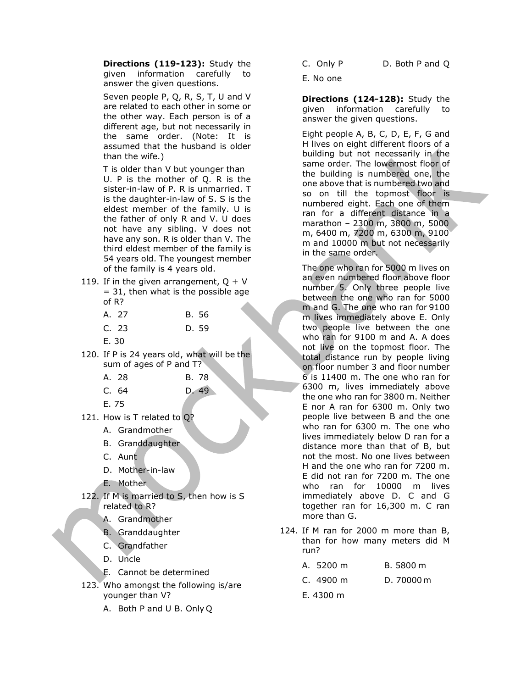Directions (119-123): Study the given information carefully to answer the given questions.

Seven people P, Q, R, S, T, U and V are related to each other in some or the other way. Each person is of a different age, but not necessarily in the same order. (Note: It is assumed that the husband is older than the wife.)

T is older than V but younger than U. P is the mother of Q. R is the sister-in-law of P. R is unmarried. T is the daughter-in-law of S. S is the eldest member of the family. U is the father of only R and V. U does not have any sibling. V does not have any son. R is older than V. The third eldest member of the family is 54 years old. The youngest member of the family is 4 years old.

- 119. If in the given arrangement,  $Q + V$  $= 31$ , then what is the possible age of R?
	- A. 27 B. 56 C. 23 D. 59 E. 30
- 120. If P is 24 years old, what will be the sum of ages of P and T?

| A. 28 | B. 78 |
|-------|-------|
| C. 64 | D. 49 |

E. 75

- 121. How is T related to Q?
	- A. Grandmother
	- B. Granddaughter
	- C. Aunt
	- D. Mother-in-law
	- E. Mother
- 122. If M is married to S, then how is S related to R?
	- A. Grandmother
	- B. Granddaughter
	- C. Grandfather
	- D. Uncle
	- E. Cannot be determined
- 123. Who amongst the following is/are younger than V?
	- A. Both P and U B. Only Q
- 
- C. Only P D. Both P and Q
- E. No one

Directions (124-128): Study the given information carefully to answer the given questions.

Eight people A, B, C, D, E, F, G and H lives on eight different floors of a building but not necessarily in the same order. The lowermost floor of the building is numbered one, the one above that is numbered two and so on till the topmost floor is numbered eight. Each one of them ran for a different distance in a marathon – 2300 m, 3800 m, 5000 m, 6400 m, 7200 m, 6300 m, 9100 m and 10000 m but not necessarily in the same order.

The one who ran for 5000 m lives on an even numbered floor above floor number 5. Only three people live between the one who ran for 5000 m and G. The one who ran for 9100 m lives immediately above E. Only two people live between the one who ran for 9100 m and A. A does not live on the topmost floor. The total distance run by people living on floor number 3 and floor number 6 is 11400 m. The one who ran for 6300 m, lives immediately above the one who ran for 3800 m. Neither E nor A ran for 6300 m. Only two people live between B and the one who ran for 6300 m. The one who lives immediately below D ran for a distance more than that of B, but not the most. No one lives between H and the one who ran for 7200 m. E did not ran for 7200 m. The one who ran for 10000 m lives immediately above D. C and G together ran for 16,300 m. C ran more than G.

124. If M ran for 2000 m more than B, than for how many meters did M run?

| A. 5200 m           | B. 5800 m  |
|---------------------|------------|
| C. $4900 \text{ m}$ | D. 70000 m |
|                     |            |

E. 4300 m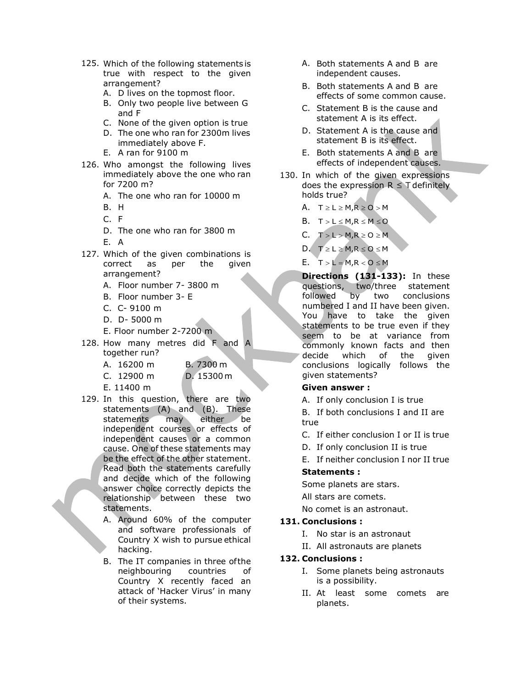- 125. Which of the following statements is true with respect to the given arrangement?
	- A. D lives on the topmost floor.
	- B. Only two people live between G and F
	- C. None of the given option is true
	- D. The one who ran for 2300m lives immediately above F.
	- E. A ran for 9100 m
- 126. Who amongst the following lives immediately above the one who ran for 7200 m?
	- A. The one who ran for 10000 m
	-
	- C. F
	- D. The one who ran for 3800 m
	- E. A
- 127. Which of the given combinations is correct as per the given arrangement?
	- A. Floor number 7- 3800 m
	- B. Floor number 3- E
	- C. C- 9100 m
	- D. D- 5000 m
	- E. Floor number 2-7200 m
- 128. How many metres did F and A together run?
	- A. 16200 m B. 7300 m
	- C. 12900 m D. 15300 m
	- E. 11400 m
- 129. In this question, there are two statements (A) and (B). These statements may either be independent courses or effects of independent causes or a common cause. One of these statements may be the effect of the other statement. Read both the statements carefully and decide which of the following answer choice correctly depicts the relationship between these two statements.
	- A. Around 60% of the computer and software professionals of Country X wish to pursue ethical hacking.
	- B. The IT companies in three of the neighbouring countries of Country X recently faced an attack of 'Hacker Virus' in many of their systems.
- A. Both statements A and B are independent causes.
- B. Both statements A and B are effects of some common cause.
- C. Statement B is the cause and statement A is its effect.
- D. Statement A is the cause and statement B is its effect.
- E. Both statements A and B are effects of independent causes.
- 130. In which of the given expressions does the expression  $R \leq T$  definitely holds true?
- B. H  $A. T \ge L \ge M, R \ge 0 > M$ 
	- B.  $T > L \leq M, R \leq M \leq Q$
	- C.  $T > L > M, R \ge 0 \ge M$

D.  $T \ge L \ge M, R \le 0 \le M$ 

E.  $T > L = M, R < 0 \le M$ 

Directions (131-133): In these questions, two/three statement followed by two conclusions numbered I and II have been given. You have to take the given statements to be true even if they seem to be at variance from commonly known facts and then decide which of the given conclusions logically follows the given statements?

#### Given answer :

A. If only conclusion I is true

B. If both conclusions I and II are true

- C. If either conclusion I or II is true
- D. If only conclusion II is true
- E. If neither conclusion I nor II true

### Statements :

Some planets are stars.

All stars are comets.

No comet is an astronaut.

# 131. Conclusions :

- I. No star is an astronaut
- II. All astronauts are planets

### 132. Conclusions :

- I. Some planets being astronauts is a possibility.
- II. At least some comets are planets.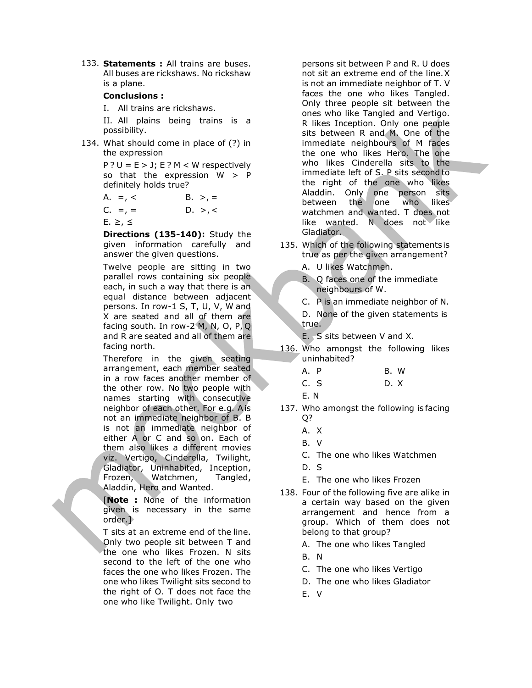133. Statements : All trains are buses. All buses are rickshaws. No rickshaw is a plane.

#### Conclusions :

I. All trains are rickshaws.

II. All plains being trains is a possibility.

134. What should come in place of (?) in the expression

> $P$  ? U = E > J; E ? M < W respectively so that the expression  $W > P$ definitely holds true?

A. =, < B. >, =

C. =, = 
$$
D. >, <
$$

E. ≥, ≤

Directions (135-140): Study the given information carefully and answer the given questions.

Twelve people are sitting in two parallel rows containing six people each, in such a way that there is an equal distance between adjacent persons. In row-1 S, T, U, V, W and X are seated and all of them are facing south. In row-2 M, N, O, P, Q and R are seated and all of them are facing north.

Therefore in the given seating arrangement, each member seated in a row faces another member of the other row. No two people with names starting with consecutive neighbor of each other. For e.g. A is not an immediate neighbor of B. B is not an immediate neighbor of either A or C and so on. Each of them also likes a different movies viz. Vertigo, Cinderella, Twilight, Gladiator, Uninhabited, Inception, Frozen, Watchmen, Tangled, Aladdin, Hero and Wanted.

**[Note :** None of the information given is necessary in the same order.]

T sits at an extreme end of the line. Only two people sit between T and the one who likes Frozen. N sits second to the left of the one who faces the one who likes Frozen. The one who likes Twilight sits second to the right of O. T does not face the one who like Twilight. Only two

persons sit between P and R. U does not sit an extreme end of the line. X is not an immediate neighbor of T. V faces the one who likes Tangled. Only three people sit between the ones who like Tangled and Vertigo. R likes Inception. Only one people sits between R and M. One of the immediate neighbours of M faces the one who likes Hero. The one who likes Cinderella sits to the immediate left of S. P sits second to the right of the one who likes Aladdin. Only one person sits between the one who likes watchmen and wanted. T does not like wanted. N does not like Gladiator.

- 135. Which of the following statements is true as per the given arrangement?
	- A. U likes Watchmen.
	- B. Q faces one of the immediate neighbours of W.
	- C. P is an immediate neighbor of N.
	- D. None of the given statements is true.

E. S sits between V and X.

- 136. Who amongst the following likes uninhabited?
	- A. P B. W C. S D. X
	- E. N
- 137. Who amongst the following is facing Q?
	- A. X
	- B. V
	- C. The one who likes Watchmen
	- D. S
	- E. The one who likes Frozen
- 138. Four of the following five are alike in a certain way based on the given arrangement and hence from a group. Which of them does not belong to that group?
	- A. The one who likes Tangled
	- B. N
	- C. The one who likes Vertigo
	- D. The one who likes Gladiator
	- E. V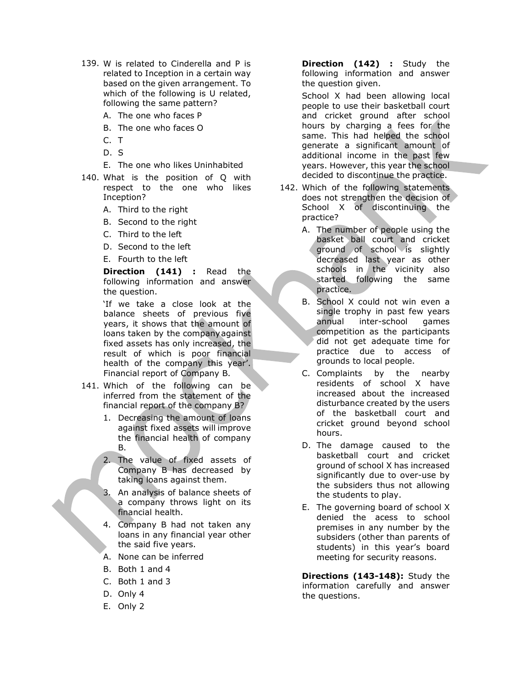- 139. W is related to Cinderella and P is related to Inception in a certain way based on the given arrangement. To which of the following is U related, following the same pattern?
	- A. The one who faces P
	- B. The one who faces O
	- C. T
	- D. S
	- E. The one who likes Uninhabited
- 140. What is the position of Q with respect to the one who likes Inception?
	- A. Third to the right
	- B. Second to the right
	- C. Third to the left
	- D. Second to the left
	- E. Fourth to the left

Direction (141) : Read the following information and answer the question.

'If we take a close look at the balance sheets of previous five years, it shows that the amount of loans taken by the company against fixed assets has only increased, the result of which is poor financial health of the company this year'. Financial report of Company B.

- 141. Which of the following can be inferred from the statement of the financial report of the company B?
	- 1. Decreasing the amount of loans against fixed assets will improve the financial health of company B.
	- 2. The value of fixed assets of Company B has decreased by taking loans against them.
	- 3. An analysis of balance sheets of a company throws light on its financial health.
	- 4. Company B had not taken any loans in any financial year other the said five years.
	- A. None can be inferred
	- B. Both 1 and 4
	- C. Both 1 and 3
	- D. Only 4
	- E. Only 2

Direction (142) : Study the following information and answer the question given.

School X had been allowing local people to use their basketball court and cricket ground after school hours by charging a fees for the same. This had helped the school generate a significant amount of additional income in the past few years. However, this year the school decided to discontinue the practice.

- 142. Which of the following statements does not strengthen the decision of School X of discontinuing the practice?
	- A. The number of people using the basket ball court and cricket ground of school is slightly decreased last year as other schools in the vicinity also started following the same practice.
	- B. School X could not win even a single trophy in past few years annual inter-school games competition as the participants did not get adequate time for practice due to access of grounds to local people.
	- C. Complaints by the nearby residents of school X have increased about the increased disturbance created by the users of the basketball court and cricket ground beyond school hours.
	- D. The damage caused to the basketball court and cricket ground of school X has increased significantly due to over-use by the subsiders thus not allowing the students to play.
	- E. The governing board of school X denied the acess to school premises in any number by the subsiders (other than parents of students) in this year's board meeting for security reasons.

Directions (143-148): Study the information carefully and answer the questions.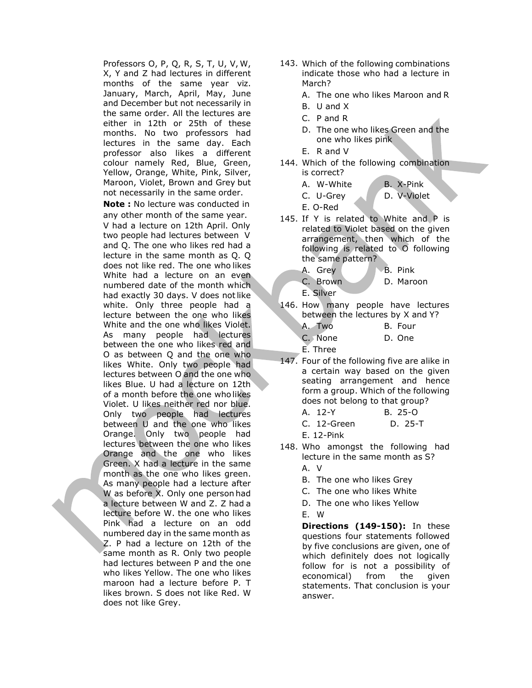Professors O, P, Q, R, S, T, U, V, W, X, Y and Z had lectures in different months of the same year viz. January, March, April, May, June and December but not necessarily in the same order. All the lectures are either in 12th or 25th of these months. No two professors had lectures in the same day. Each professor also likes a different colour namely Red, Blue, Green, Yellow, Orange, White, Pink, Silver, Maroon, Violet, Brown and Grey but not necessarily in the same order.

**Note:** No lecture was conducted in any other month of the same year. V had a lecture on 12th April. Only two people had lectures between V and Q. The one who likes red had a lecture in the same month as Q. Q does not like red. The one who likes White had a lecture on an even numbered date of the month which had exactly 30 days. V does not like white. Only three people had a lecture between the one who likes White and the one who likes Violet. As many people had lectures between the one who likes red and O as between Q and the one who likes White. Only two people had lectures between O and the one who likes Blue. U had a lecture on 12th of a month before the one who likes Violet. U likes neither red nor blue. Only two people had lectures between U and the one who likes Orange. Only two people had lectures between the one who likes Orange and the one who likes Green. X had a lecture in the same month as the one who likes green. As many people had a lecture after W as before X. Only one person had a lecture between W and Z. Z had a lecture before W. the one who likes Pink had a lecture on an odd numbered day in the same month as Z. P had a lecture on 12th of the same month as R. Only two people had lectures between P and the one who likes Yellow. The one who likes maroon had a lecture before P. T likes brown. S does not like Red. W does not like Grey.

- 143. Which of the following combinations indicate those who had a lecture in March?
	- A. The one who likes Maroon and R
	- B. U and X
	- C. P and R
	- D. The one who likes Green and the one who likes pink
	- E. R and V
- 144. Which of the following combination is correct?
	- A. W-White B. X-Pink
	- C. U-Grey D. V-Violet
	- E. O-Red
- 145. If Y is related to White and P is related to Violet based on the given arrangement, then which of the following is related to O following the same pattern?
	- A. Grey B. Pink C. Brown D. Maroon
	- E. Silver
- 146. How many people have lectures between the lectures by X and Y? A. Two B. Four
	- C. None D. One

E. Three

- 147. Four of the following five are alike in a certain way based on the given seating arrangement and hence form a group. Which of the following does not belong to that group? A. 12-Y B. 25-O
	- C. 12-Green D. 25-T
	- E. 12-Pink
- 148. Who amongst the following had lecture in the same month as S? A. V
	-
	- B. The one who likes Grey
	- C. The one who likes White
	- D. The one who likes Yellow E. W
	-

Directions (149-150): In these questions four statements followed by five conclusions are given, one of which definitely does not logically follow for is not a possibility of economical) from the given statements. That conclusion is your answer.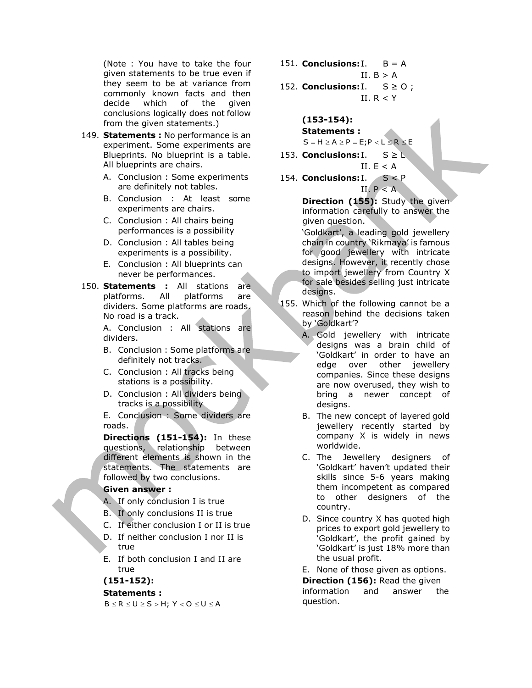(Note : You have to take the four given statements to be true even if they seem to be at variance from commonly known facts and then decide which of the given conclusions logically does not follow from the given statements.)

- 149. Statements : No performance is an experiment. Some experiments are Blueprints. No blueprint is a table. All blueprints are chairs.
	- A. Conclusion : Some experiments are definitely not tables.
	- B. Conclusion : At least some experiments are chairs.
	- C. Conclusion : All chairs being performances is a possibility
	- D. Conclusion : All tables being experiments is a possibility.
	- E. Conclusion : All blueprints can never be performances.
- 150. **Statements:** All stations are platforms. All platforms are dividers. Some platforms are roads. No road is a track.

A. Conclusion : All stations are dividers.

- B. Conclusion : Some platforms are definitely not tracks.
- C. Conclusion : All tracks being stations is a possibility.
- D. Conclusion : All dividers being tracks is a possibility

E. Conclusion : Some dividers are roads.

Directions (151-154): In these questions, relationship between different elements is shown in the statements. The statements are followed by two conclusions.

# Given answer :

- A. If only conclusion I is true
- B. If only conclusions II is true
- C. If either conclusion I or II is true
- D. If neither conclusion I nor II is true
- E. If both conclusion I and II are true

(151-152):

### Statements :

 $B \leq R \leq U \geq S > H; \; Y < O \leq U \leq A$ 

- 151. **Conclusions:**  $I.$   $B = A$ II.  $B > A$
- 152. **Conclusions:** I.  $S \ge 0$ ; II.  $R < Y$

(153-154):

Statements :

 $S = H \ge A \ge P = E$ ;  $P < L \le R \le E$ 

- 153. Conclusions:  $I. S \geq L$ II.  $E < A$
- 154. Conclusions:  $I. S < P$ II.  $P < A$

Direction (155): Study the given information carefully to answer the given question.

'Goldkart', a leading gold jewellery chain in country 'Rikmaya' is famous for good jewellery with intricate designs. However, it recently chose to import jewellery from Country X for sale besides selling just intricate designs.

- 155. Which of the following cannot be a reason behind the decisions taken by 'Goldkart'?
	- A. Gold jewellery with intricate designs was a brain child of 'Goldkart' in order to have an edge over other jewellery companies. Since these designs are now overused, they wish to bring a newer concept of designs.
	- B. The new concept of layered gold jewellery recently started by company X is widely in news worldwide.
	- C. The Jewellery designers of 'Goldkart' haven't updated their skills since 5-6 years making them incompetent as compared to other designers of the country.
	- D. Since country X has quoted high prices to export gold jewellery to 'Goldkart', the profit gained by 'Goldkart' is just 18% more than the usual profit.
	- E. None of those given as options.

**Direction (156):** Read the given information and answer the question.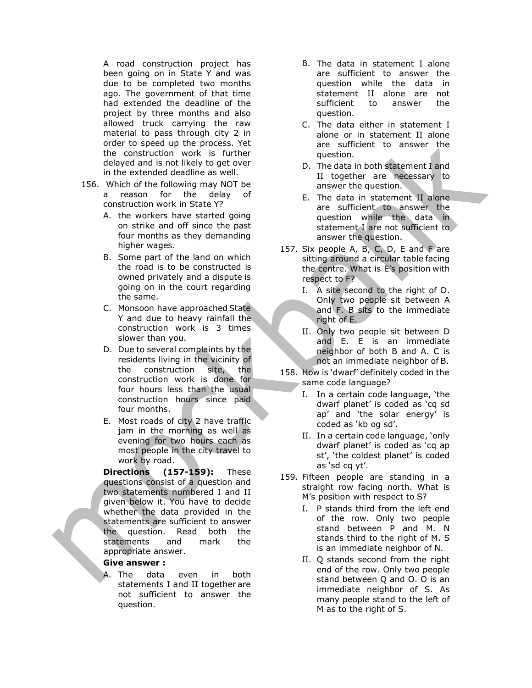A road construction project has been going on in State Y and was due to be completed two months ago. The government of that time had extended the deadline of the project by three months and also allowed truck carrying the raw material to pass through city 2 in order to speed up the process. Yet the construction work is further delayed and is not likely to get over in the extended deadline as well.

- 156. Which of the following may NOT be a reason for the delay of construction work in State Y?
	- A. the workers have started going on strike and off since the past four months as they demanding higher wages.
	- B. Some part of the land on which the road is to be constructed is owned privately and a dispute is going on in the court regarding the same.
	- C. Monsoon have approached State Y and due to heavy rainfall the construction work is 3 times slower than you.
	- D. Due to several complaints by the residents living in the vicinity of the construction site, the construction work is done for four hours less than the usual construction hours since paid four months.
	- E. Most roads of city 2 have traffic jam in the morning as well as evening for two hours each as most people in the city travel to work by road.

Directions (157-159): These questions consist of a question and two statements numbered I and II given below it. You have to decide whether the data provided in the statements are sufficient to answer the question. Read both the statements and mark the appropriate answer.

#### Give answer :

A. The data even in both statements I and II together are not sufficient to answer the question.

- B. The data in statement I alone are sufficient to answer the question while the data in statement II alone are not sufficient to answer the question.
- C. The data either in statement I alone or in statement II alone are sufficient to answer the question.
- D. The data in both statement I and II together are necessary to answer the question.
- E. The data in statement II alone are sufficient to answer the question while the data in statement I are not sufficient to answer the question.
- 157. Six people A, B, C, D, E and F are sitting around a circular table facing the centre. What is E's position with respect to F?
	- I. A site second to the right of D. Only two people sit between A and F. B sits to the immediate right of E.
	- II. Only two people sit between D and E. E is an immediate neighbor of both B and A. C is not an immediate neighbor of B.
- 158. How is 'dwarf' definitely coded in the same code language?
	- I. In a certain code language, 'the dwarf planet' is coded as 'cq sd ap' and 'the solar energy' is coded as 'kb og sd'.
	- II. In a certain code language, 'only dwarf planet' is coded as 'cq ap st', 'the coldest planet' is coded as 'sd cq yt'.
- 159. Fifteen people are standing in a straight row facing north. What is M's position with respect to S?
	- I. P stands third from the left end of the row. Only two people stand between P and M. N stands third to the right of M. S is an immediate neighbor of N.
	- II. Q stands second from the right end of the row. Only two people stand between Q and O. O is an immediate neighbor of S. As many people stand to the left of M as to the right of S.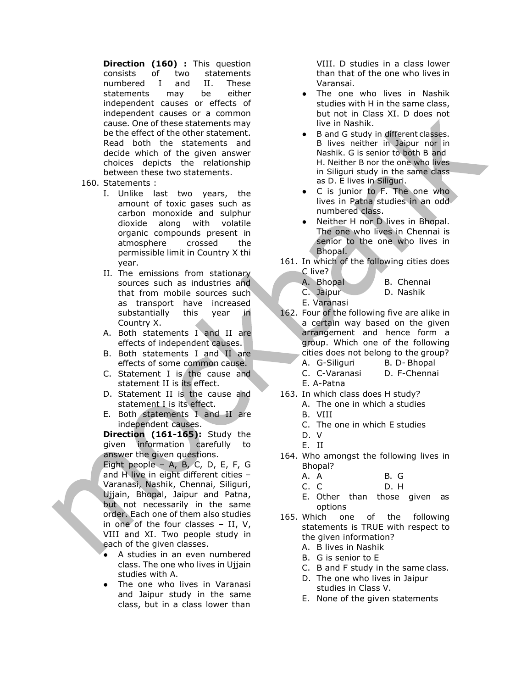Direction (160) : This question consists of two statements numbered I and II. These statements may be either independent causes or effects of independent causes or a common cause. One of these statements may be the effect of the other statement. Read both the statements and decide which of the given answer choices depicts the relationship between these two statements.

- 160. Statements :
	- I. Unlike last two years, the amount of toxic gases such as carbon monoxide and sulphur dioxide along with volatile organic compounds present in atmosphere crossed the permissible limit in Country X thi year.
	- II. The emissions from stationary sources such as industries and that from mobile sources such as transport have increased substantially this year in Country X.
	- A. Both statements I and II are effects of independent causes.
	- B. Both statements I and II are effects of some common cause.
	- C. Statement I is the cause and statement II is its effect.
	- D. Statement II is the cause and statement I is its effect.
	- E. Both statements I and II are independent causes.

Direction (161-165): Study the given information carefully to answer the given questions.

Eight people – A, B, C, D, E, F, G and H live in eight different cities – Varanasi, Nashik, Chennai, Siliguri, Ujjain, Bhopal, Jaipur and Patna, but not necessarily in the same order. Each one of them also studies in one of the four classes – II, V, VIII and XI. Two people study in each of the given classes.

- A studies in an even numbered class. The one who lives in Ujjain studies with A.
- The one who lives in Varanasi and Jaipur study in the same class, but in a class lower than

VIII. D studies in a class lower than that of the one who lives in Varansai.

- The one who lives in Nashik studies with H in the same class, but not in Class XI. D does not live in Nashik.
- B and G study in different classes. B lives neither in Jaipur nor in Nashik. G is senior to both B and H. Neither B nor the one who lives in Siliguri study in the same class as D. E lives in Siliguri.
- C is junior to F. The one who lives in Patna studies in an odd numbered class.
- Neither H nor D lives in Bhopal. The one who lives in Chennai is senior to the one who lives in Bhopal.
- 161. In which of the following cities does C live?
	- A. Bhopal B. Chennai
	- C. Jaipur D. Nashik
	- E. Varanasi
- 162. Four of the following five are alike in a certain way based on the given arrangement and hence form a group. Which one of the following cities does not belong to the group? A. G-Siliguri B. D- Bhopal
	-
	- C. C-Varanasi D. F-Chennai E. A-Patna
- 163. In which class does H study?
	- A. The one in which a studies
	- B. VIII
	- C. The one in which E studies
	- D. V
	- E. II
- 164. Who amongst the following lives in Bhopal?
	- A. A B. G
	- C. C D. H
	- E. Other than those given as options
- 165. Which one of the following statements is TRUE with respect to the given information?
	- A. B lives in Nashik
	- B. G is senior to E
	- C. B and F study in the same class.
	- D. The one who lives in Jaipur studies in Class V.
	- E. None of the given statements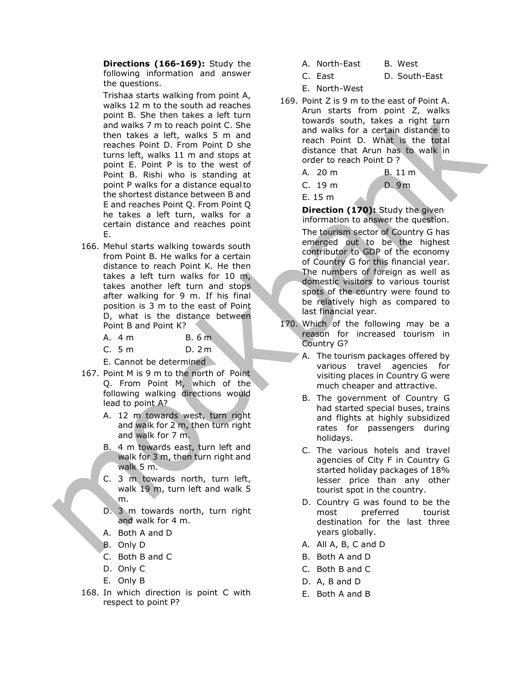Directions (166-169): Study the following information and answer the questions.

Trishaa starts walking from point A, walks 12 m to the south ad reaches point B. She then takes a left turn and walks 7 m to reach point C. She then takes a left, walks 5 m and reaches Point D. From Point D she turns left, walks 11 m and stops at point E. Point P is to the west of Point B. Rishi who is standing at point P walks for a distance equal to the shortest distance between B and E and reaches Point Q. From Point Q he takes a left turn, walks for a certain distance and reaches point E.

166. Mehul starts walking towards south from Point B. He walks for a certain distance to reach Point K. He then takes a left turn walks for 10 m, takes another left turn and stops after walking for 9 m. If his final position is 3 m to the east of Point D, what is the distance between Point B and Point K?

| B.6m<br>A. 4 m |
|----------------|
|----------------|

C. 5 m D. 2 m

E. Cannot be determined

- 167. Point M is 9 m to the north of Point Q. From Point M, which of the following walking directions would lead to point A?
	- A. 12 m towards west, turn right and walk for 2 m, then turn right and walk for 7 m.
	- B. 4 m towards east, turn left and walk for 3 m, then turn right and walk 5 m.
	- C. 3 m towards north, turn left, walk 19 m, turn left and walk 5 m.
	- D. 3 m towards north, turn right and walk for 4 m.
	- A. Both A and D
	- B. Only D
	- C. Both B and C
	- D. Only C
	- E. Only B
- 168. In which direction is point C with respect to point P?
- A. North-East B. West
- C. East D. South-East
- E. North-West
- 169. Point Z is 9 m to the east of Point A. Arun starts from point Z, walks towards south, takes a right turn and walks for a certain distance to reach Point D. What is the total distance that Arun has to walk in order to reach Point D ?
	- A. 20 m B. 11 m C. 19 m D. 9 m E. 15 m

Direction (170): Study the given information to answer the question. The tourism sector of Country G has emerged out to be the highest contributor to GDP of the economy of Country G for this financial year. The numbers of foreign as well as domestic visitors to various tourist spots of the country were found to be relatively high as compared to last financial year.

- 170. Which of the following may be a reason for increased tourism in Country G?
	- A. The tourism packages offered by various travel agencies for visiting places in Country G were much cheaper and attractive.
	- B. The government of Country G had started special buses, trains and flights at highly subsidized rates for passengers during holidays.
	- C. The various hotels and travel agencies of City F in Country G started holiday packages of 18% lesser price than any other tourist spot in the country.
	- D. Country G was found to be the most preferred tourist destination for the last three years globally.
	- A. All A, B, C and D
	- B. Both A and D
	- C. Both B and C
	- D. A, B and D
	- E. Both A and B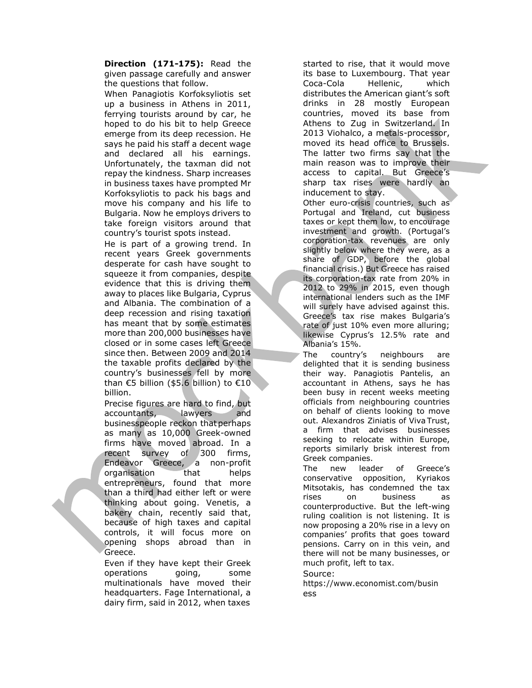Direction (171-175): Read the given passage carefully and answer the questions that follow.

When Panagiotis Korfoksyliotis set up a business in Athens in 2011, ferrying tourists around by car, he hoped to do his bit to help Greece emerge from its deep recession. He says he paid his staff a decent wage and declared all his earnings. Unfortunately, the taxman did not repay the kindness. Sharp increases in business taxes have prompted Mr Korfoksyliotis to pack his bags and move his company and his life to Bulgaria. Now he employs drivers to take foreign visitors around that country's tourist spots instead.

He is part of a growing trend. In recent years Greek governments desperate for cash have sought to squeeze it from companies, despite evidence that this is driving them away to places like Bulgaria, Cyprus and Albania. The combination of a deep recession and rising taxation has meant that by some estimates more than 200,000 businesses have closed or in some cases left Greece since then. Between 2009 and 2014 the taxable profits declared by the country's businesses fell by more than €5 billion (\$5.6 billion) to €10 billion.

Precise figures are hard to find, but accountants, lawyers and businesspeople reckon that perhaps as many as 10,000 Greek-owned firms have moved abroad. In a recent survey of 300 firms, Endeavor Greece, a non-profit organisation that helps entrepreneurs, found that more than a third had either left or were thinking about going. Venetis, a bakery chain, recently said that, because of high taxes and capital controls, it will focus more on opening shops abroad than in Greece.

Even if they have kept their Greek operations going, some multinationals have moved their headquarters. Fage International, a dairy firm, said in 2012, when taxes

started to rise, that it would move its base to Luxembourg. That year Coca-Cola Hellenic, which distributes the American giant's soft drinks in 28 mostly European countries, moved its base from Athens to Zug in Switzerland. In 2013 Viohalco, a metals-processor, moved its head office to Brussels. The latter two firms say that the main reason was to improve their access to capital. But Greece's sharp tax rises were hardly an inducement to stay.

Other euro-crisis countries, such as Portugal and Ireland, cut business taxes or kept them low, to encourage investment and growth. (Portugal's corporation-tax revenues are only slightly below where they were, as a share of GDP, before the global financial crisis.) But Greece has raised its corporation-tax rate from 20% in 2012 to 29% in 2015, even though international lenders such as the IMF will surely have advised against this. Greece's tax rise makes Bulgaria's rate of just 10% even more alluring; likewise Cyprus's 12.5% rate and Albania's 15%.

The country's neighbours are delighted that it is sending business their way. Panagiotis Pantelis, an accountant in Athens, says he has been busy in recent weeks meeting officials from neighbouring countries on behalf of clients looking to move out. Alexandros Ziniatis of Viva Trust, a firm that advises businesses seeking to relocate within Europe, reports similarly brisk interest from Greek companies.

The new leader of Greece's conservative opposition, Kyriakos Mitsotakis, has condemned the tax rises on business as counterproductive. But the left-wing ruling coalition is not listening. It is now proposing a 20% rise in a levy on companies' profits that goes toward pensions. Carry on in this vein, and there will not be many businesses, or much profit, left to tax.

Source:

https://www.economist.com/busin ess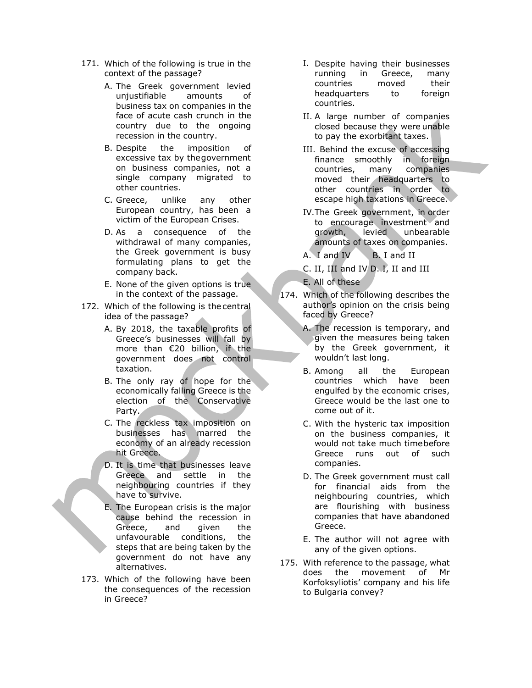- 171. Which of the following is true in the context of the passage?
	- A. The Greek government levied unjustifiable amounts of business tax on companies in the face of acute cash crunch in the country due to the ongoing recession in the country.
	- B. Despite the imposition of excessive tax by the government on business companies, not a single company migrated to other countries.
	- C. Greece, unlike any other European country, has been a victim of the European Crises.
	- D. As a consequence of the withdrawal of many companies, the Greek government is busy formulating plans to get the company back.
	- E. None of the given options is true in the context of the passage.
- 172. Which of the following is the central idea of the passage?
	- A. By 2018, the taxable profits of Greece's businesses will fall by more than €20 billion, if the government does not control taxation.
	- B. The only ray of hope for the economically falling Greece is the election of the Conservative Party.
	- C. The reckless tax imposition on businesses has marred the economy of an already recession hit Greece.
	- D. It is time that businesses leave Greece and settle in the neighbouring countries if they have to survive.
	- E. The European crisis is the major cause behind the recession in Greece, and given the unfavourable conditions, the steps that are being taken by the government do not have any alternatives.
- 173. Which of the following have been the consequences of the recession in Greece?
- I. Despite having their businesses running in Greece, many countries moved their headquarters to foreign countries.
- II. A large number of companies closed because they were unable to pay the exorbitant taxes.
- III. Behind the excuse of accessing finance smoothly in foreign countries, many companies moved their headquarters to other countries in order to escape high taxations in Greece.
- IV.The Greek government, in order to encourage investment and growth, levied unbearable amounts of taxes on companies.
- A. I and IV B. I and II
- C. II, III and IV D. I, II and III
- E. All of these
- 174. Which of the following describes the author's opinion on the crisis being faced by Greece?
	- A. The recession is temporary, and given the measures being taken by the Greek government, it wouldn't last long.
	- B. Among all the European countries which have been engulfed by the economic crises, Greece would be the last one to come out of it.
	- C. With the hysteric tax imposition on the business companies, it would not take much time before Greece runs out of such companies.
	- D. The Greek government must call for financial aids from the neighbouring countries, which are flourishing with business companies that have abandoned Greece.
	- E. The author will not agree with any of the given options.
- 175. With reference to the passage, what does the movement of Mr Korfoksyliotis' company and his life to Bulgaria convey?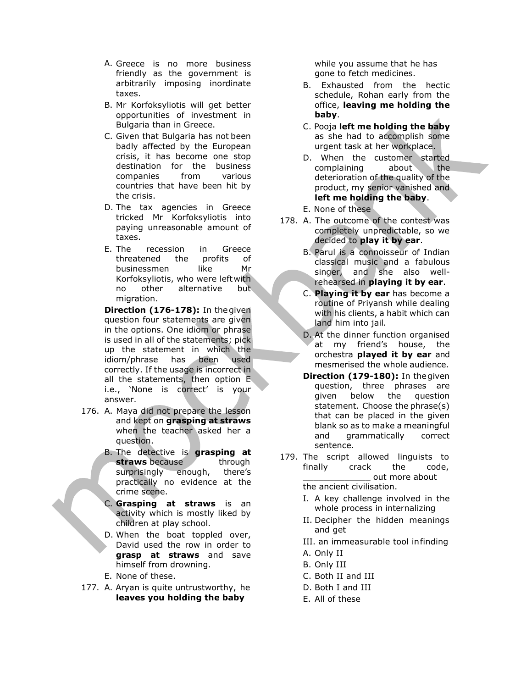- A. Greece is no more business friendly as the government is arbitrarily imposing inordinate taxes.
- B. Mr Korfoksyliotis will get better opportunities of investment in Bulgaria than in Greece.
- C. Given that Bulgaria has not been badly affected by the European crisis, it has become one stop destination for the business companies from various countries that have been hit by the crisis.
- D. The tax agencies in Greece tricked Mr Korfoksyliotis into paying unreasonable amount of taxes.
- E. The recession in Greece threatened the profits of businessmen like Mr Korfoksyliotis, who were left with no other alternative but migration.

Direction (176-178): In the given question four statements are given in the options. One idiom or phrase is used in all of the statements; pick up the statement in which the idiom/phrase has been used correctly. If the usage is incorrect in all the statements, then option E i.e., 'None is correct' is your answer.

- 176. A. Maya did not prepare the lesson and kept on grasping at straws when the teacher asked her a question.
	- B. The detective is **grasping at** straws because through surprisingly enough, there's practically no evidence at the crime scene.
	- C. Grasping at straws is an activity which is mostly liked by children at play school.
	- D. When the boat toppled over, David used the row in order to grasp at straws and save himself from drowning.
	- E. None of these.
- 177. A. Aryan is quite untrustworthy, he leaves you holding the baby

while you assume that he has gone to fetch medicines.

- B. Exhausted from the hectic schedule, Rohan early from the office, leaving me holding the baby.
- C. Pooja left me holding the baby as she had to accomplish some urgent task at her workplace.
- D. When the customer started complaining about the deterioration of the quality of the product, my senior vanished and left me holding the baby.
- E. None of these
- 178. A. The outcome of the contest was completely unpredictable, so we decided to play it by ear.
	- B. Parul is a connoisseur of Indian classical music and a fabulous singer, and she also wellrehearsed in playing it by ear.
	- C. Playing it by ear has become a routine of Priyansh while dealing with his clients, a habit which can land him into jail.
	- D. At the dinner function organised at my friend's house, the orchestra **played it by ear** and mesmerised the whole audience.
	- Direction (179-180): In the given question, three phrases are given below the question statement. Choose the phrase(s) that can be placed in the given blank so as to make a meaningful and grammatically correct sentence.
- 179. The script allowed linguists to finally crack the code, out more about the ancient civilisation.
	- I. A key challenge involved in the whole process in internalizing
	- II. Decipher the hidden meanings and get
	- III. an immeasurable tool in finding
	- A. Only II
	- B. Only III
	- C. Both II and III
	- D. Both I and III
	- E. All of these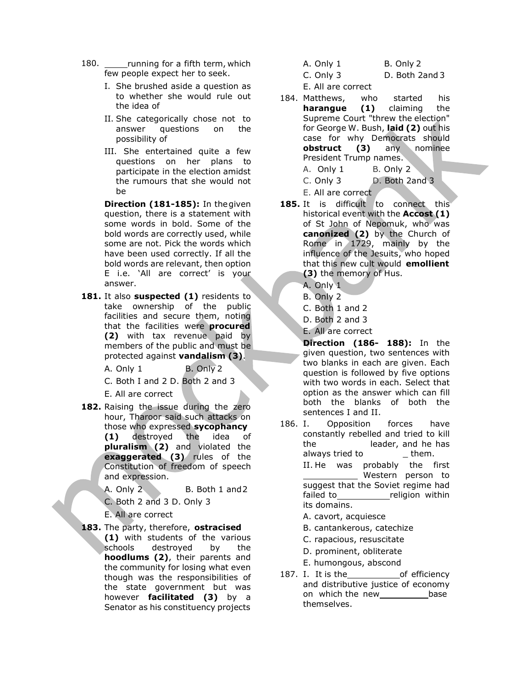- 180. running for a fifth term, which few people expect her to seek.
	- I. She brushed aside a question as to whether she would rule out the idea of
	- II. She categorically chose not to answer questions on the possibility of
	- III. She entertained quite a few questions on her plans to participate in the election amidst the rumours that she would not be

Direction (181-185): In the given question, there is a statement with some words in bold. Some of the bold words are correctly used, while some are not. Pick the words which have been used correctly. If all the bold words are relevant, then option E i.e. 'All are correct' is your answer.

181. It also suspected (1) residents to take ownership of the public facilities and secure them, noting that the facilities were procured (2) with tax revenue paid by members of the public and must be protected against vandalism (3).

A. Only  $1$  B. Only  $2$ 

C. Both I and 2 D. Both 2 and 3

E. All are correct

182. Raising the issue during the zero hour, Tharoor said such attacks on those who expressed sycophancy (1) destroyed the idea of pluralism (2) and violated the exaggerated (3) rules of the Constitution of freedom of speech and expression.

A. Only 2 B. Both 1 and 2

C. Both 2 and 3 D. Only 3

E. All are correct

183. The party, therefore, ostracised (1) with students of the various schools destroyed by the hoodlums (2), their parents and the community for losing what even though was the responsibilities of the state government but was

> however **facilitated (3)** by a Senator as his constituency projects

A. Only 1 B. Only 2

C. Only 3 D. Both 2and 3

E. All are correct

- 184. Matthews, who started his harangue (1) claiming the Supreme Court "threw the election" for George W. Bush, laid (2) out his case for why Democrats should obstruct (3) any nominee President Trump names. A. Only 1 B. Only 2
	- C. Only 3 D. Both 2and 3

E. All are correct

- 185. It is difficult to connect this historical event with the **Accost (1)** of St John of Nepomuk, who was canonized (2) by the Church of Rome in 1729, mainly by the influence of the Jesuits, who hoped that this new cult would emollient (3) the memory of Hus.
	- A. Only 1
	- B. Only 2
	- C. Both 1 and 2
	- D. Both 2 and 3
	- E. All are correct

Direction (186- 188): In the given question, two sentences with two blanks in each are given. Each question is followed by five options with two words in each. Select that option as the answer which can fill both the blanks of both the sentences I and II.

186. I. Opposition forces have constantly rebelled and tried to kill the leader, and he has always tried to II. He was probably the first Western person to suggest that the Soviet regime had failed to **religion** within its domains.

- A. cavort, acquiesce
- B. cantankerous, catechize
- C. rapacious, resuscitate
- D. prominent, obliterate
- E. humongous, abscond
- 187. I. It is the of efficiency and distributive justice of economy on which the new base themselves.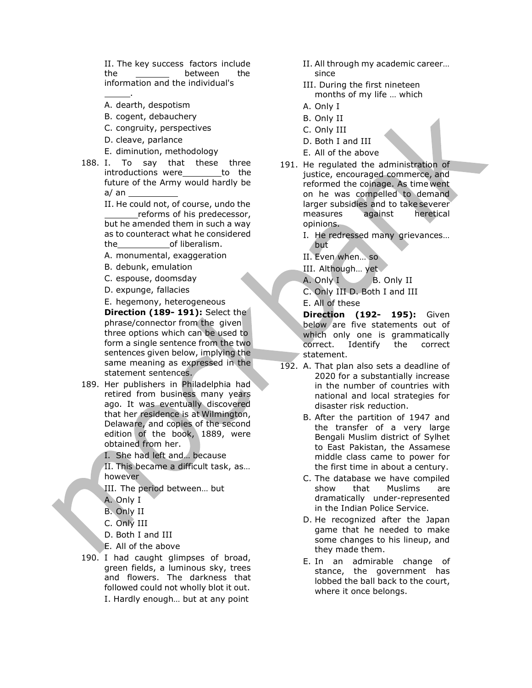II. The key success factors include II. All through my academic career... the between the since information and the individual's

A. dearth, despotism

.

- B. cogent, debauchery
- C. congruity, perspectives
- D. cleave, parlance
- E. diminution, methodology
- 188. I. To say that these three introductions were\_\_\_\_\_\_\_\_\_to the future of the Army would hardly be a/ an

II. He could not, of course, undo the reforms of his predecessor, but he amended them in such a way as to counteract what he considered the of liberalism.

- A. monumental, exaggeration
- B. debunk, emulation
- C. espouse, doomsday
- D. expunge, fallacies

E. hegemony, heterogeneous Direction (189-191): Select the phrase/connector from the given three options which can be used to form a single sentence from the two sentences given below, implying the same meaning as expressed in the statement sentences.

- 189. Her publishers in Philadelphia had retired from business many years ago. It was eventually discovered that her residence is at Wilmington, Delaware, and copies of the second edition of the book, 1889, were obtained from her.
	- I. She had left and… because

II. This became a difficult task, as… however

- III. The period between… but
- A. Only I
- B. Only II
- C. Only III
- D. Both I and III
- E. All of the above
- 190. I had caught glimpses of broad, green fields, a luminous sky, trees and flowers. The darkness that followed could not wholly blot it out. I. Hardly enough… but at any point
- 
- III. During the first nineteen months of my life … which
- A. Only I
- B. Only II
- C. Only III
- D. Both I and III
- E. All of the above
- 191. He regulated the administration of justice, encouraged commerce, and reformed the coinage. As time went on he was compelled to demand larger subsidies and to take severer measures against heretical opinions.
	- I. He redressed many grievances… but
	- II. Even when… so
	- III. Although… yet

A. Only I B. Only II

C. Only III D. Both I and III

E. All of these

Direction (192- 195): Given below are five statements out of which only one is grammatically correct. Identify the correct statement.

- 192. A. That plan also sets a deadline of 2020 for a substantially increase in the number of countries with national and local strategies for disaster risk reduction.
	- B. After the partition of 1947 and the transfer of a very large Bengali Muslim district of Sylhet to East Pakistan, the Assamese middle class came to power for the first time in about a century.
	- C. The database we have compiled show that Muslims are dramatically under-represented in the Indian Police Service.
	- D. He recognized after the Japan game that he needed to make some changes to his lineup, and they made them.
	- E. In an admirable change of stance, the government has lobbed the ball back to the court, where it once belongs.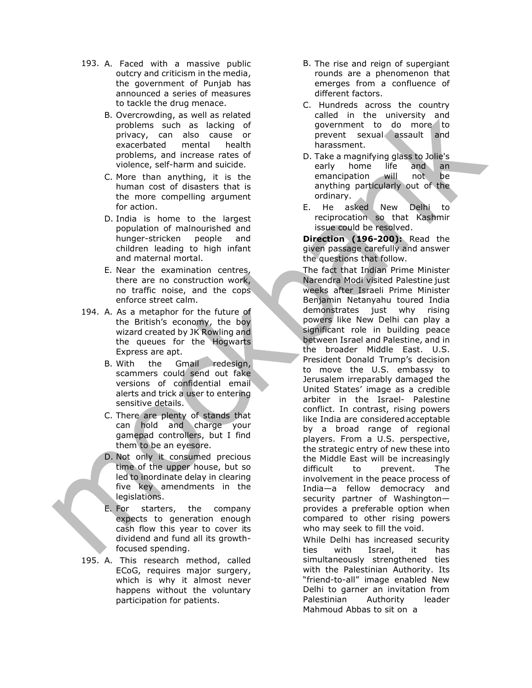- 193. A. Faced with a massive public outcry and criticism in the media, the government of Punjab has announced a series of measures to tackle the drug menace.
	- B. Overcrowding, as well as related problems such as lacking of privacy, can also cause or exacerbated mental health problems, and increase rates of violence, self-harm and suicide.
	- C. More than anything, it is the human cost of disasters that is the more compelling argument for action.
	- D. India is home to the largest population of malnourished and hunger-stricken people and children leading to high infant and maternal mortal.
	- E. Near the examination centres, there are no construction work, no traffic noise, and the cops enforce street calm.
- 194. A. As a metaphor for the future of the British's economy, the boy wizard created by JK Rowling and the queues for the Hogwarts Express are apt.
	- B. With the Gmail redesign, scammers could send out fake versions of confidential email alerts and trick a user to entering sensitive details.
	- C. There are plenty of stands that can hold and charge your gamepad controllers, but I find them to be an eyesore.
	- D. Not only it consumed precious time of the upper house, but so led to inordinate delay in clearing five key amendments in the legislations.
	- E. For starters, the company expects to generation enough cash flow this year to cover its dividend and fund all its growthfocused spending.
- 195. A. This research method, called ECoG, requires major surgery, which is why it almost never happens without the voluntary participation for patients.
- B. The rise and reign of supergiant rounds are a phenomenon that emerges from a confluence of different factors.
- C. Hundreds across the country called in the university and government to do more to prevent sexual assault and harassment.
- D. Take a magnifying glass to Jolie's early home life and an emancipation will not be anything particularly out of the ordinary.
- E. He asked New Delhi to reciprocation so that Kashmir issue could be resolved.

Direction (196-200): Read the given passage carefully and answer the questions that follow.

The fact that Indian Prime Minister Narendra Modi visited Palestine just weeks after Israeli Prime Minister Benjamin Netanyahu toured India demonstrates just why rising powers like New Delhi can play a significant role in building peace between Israel and Palestine, and in the broader Middle East. U.S. President Donald Trump's decision to move the U.S. embassy to Jerusalem irreparably damaged the United States' image as a credible arbiter in the Israel- Palestine conflict. In contrast, rising powers like India are considered acceptable by a broad range of regional players. From a U.S. perspective, the strategic entry of new these into the Middle East will be increasingly difficult to prevent. The involvement in the peace process of India—a fellow democracy and security partner of Washington provides a preferable option when compared to other rising powers who may seek to fill the void.

While Delhi has increased security ties with Israel, it has simultaneously strengthened ties with the Palestinian Authority. Its "friend-to-all" image enabled New Delhi to garner an invitation from Palestinian Authority leader Mahmoud Abbas to sit on a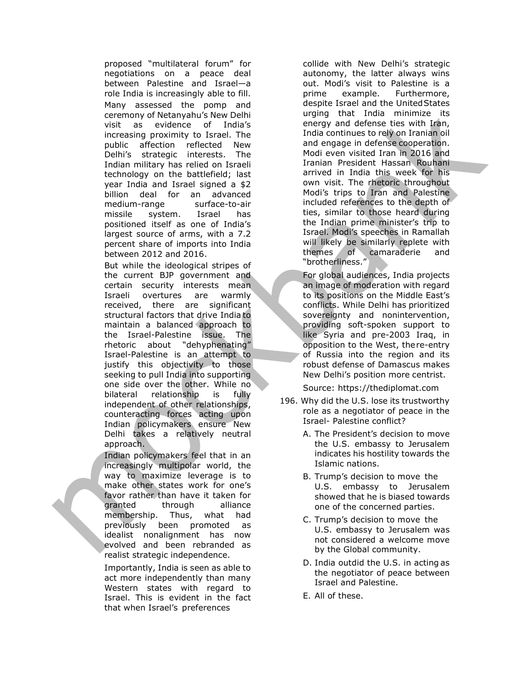proposed "multilateral forum" for negotiations on a peace deal between Palestine and Israel—a role India is increasingly able to fill. Many assessed the pomp and ceremony of Netanyahu's New Delhi visit as evidence of India's increasing proximity to Israel. The public affection reflected New Delhi's strategic interests. The Indian military has relied on Israeli technology on the battlefield; last year India and Israel signed a \$2 billion deal for an advanced medium-range surface-to-air missile system. Israel has positioned itself as one of India's largest source of arms, with a 7.2 percent share of imports into India between 2012 and 2016.

But while the ideological stripes of the current BJP government and certain security interests mean Israeli overtures are warmly received, there are significant structural factors that drive India to maintain a balanced approach to the Israel-Palestine issue. The rhetoric about "dehyphenating" Israel-Palestine is an attempt to justify this objectivity to those seeking to pull India into supporting one side over the other. While no bilateral relationship is fully independent of other relationships, counteracting forces acting upon Indian policymakers ensure New Delhi takes a relatively neutral approach.

Indian policymakers feel that in an increasingly multipolar world, the way to maximize leverage is to make other states work for one's favor rather than have it taken for granted through alliance membership. Thus, what had previously been promoted as idealist nonalignment has now evolved and been rebranded as realist strategic independence.

Importantly, India is seen as able to act more independently than many Western states with regard to Israel. This is evident in the fact that when Israel's preferences

collide with New Delhi's strategic autonomy, the latter always wins out. Modi's visit to Palestine is a prime example. Furthermore, despite Israel and the United States urging that India minimize its energy and defense ties with Iran, India continues to rely on Iranian oil and engage in defense cooperation. Modi even visited Iran in 2016 and Iranian President Hassan Rouhani arrived in India this week for his own visit. The rhetoric throughout Modi's trips to Iran and Palestine included references to the depth of ties, similar to those heard during the Indian prime minister's trip to Israel. Modi's speeches in Ramallah will likely be similarly replete with themes of camaraderie and "brotherliness."

For global audiences, India projects an image of moderation with regard to its positions on the Middle East's conflicts. While Delhi has prioritized sovereignty and nonintervention, providing soft-spoken support to like Syria and pre-2003 Iraq, in opposition to the West, the re-entry of Russia into the region and its robust defense of Damascus makes New Delhi's position more centrist.

Source: https://thediplomat.com

- 196. Why did the U.S. lose its trustworthy role as a negotiator of peace in the Israel- Palestine conflict?
	- A. The President's decision to move the U.S. embassy to Jerusalem indicates his hostility towards the Islamic nations.
	- B. Trump's decision to move the U.S. embassy to Jerusalem showed that he is biased towards one of the concerned parties.
	- C. Trump's decision to move the U.S. embassy to Jerusalem was not considered a welcome move by the Global community.
	- D. India outdid the U.S. in acting as the negotiator of peace between Israel and Palestine.
	- E. All of these.